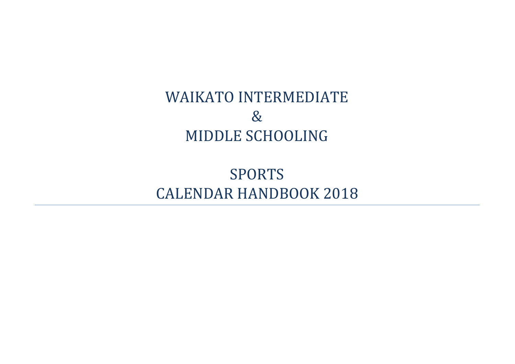# WAIKATO INTERMEDIATE & MIDDLE SCHOOLING

SPORTS CALENDAR HANDBOOK 2018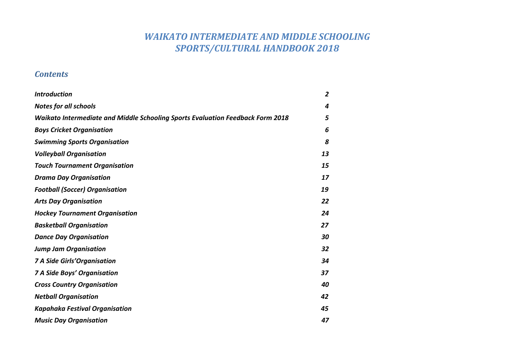# *WAIKATO INTERMEDIATE AND MIDDLE SCHOOLING SPORTS/CULTURAL HANDBOOK 2018*

### *Contents*

| <b>Introduction</b>                                                            | $\overline{2}$ |
|--------------------------------------------------------------------------------|----------------|
| <b>Notes for all schools</b>                                                   | 4              |
| Waikato Intermediate and Middle Schooling Sports Evaluation Feedback Form 2018 | 5              |
| <b>Boys Cricket Organisation</b>                                               | 6              |
| <b>Swimming Sports Organisation</b>                                            | 8              |
| <b>Volleyball Organisation</b>                                                 | 13             |
| <b>Touch Tournament Organisation</b>                                           | 15             |
| <b>Drama Day Organisation</b>                                                  | 17             |
| <b>Football (Soccer) Organisation</b>                                          | 19             |
| <b>Arts Day Organisation</b>                                                   | 22             |
| <b>Hockey Tournament Organisation</b>                                          | 24             |
| <b>Basketball Organisation</b>                                                 | 27             |
| <b>Dance Day Organisation</b>                                                  | 30             |
| <b>Jump Jam Organisation</b>                                                   | 32             |
| <b>7 A Side Girls' Organisation</b>                                            | 34             |
| <b>7 A Side Boys' Organisation</b>                                             | 37             |
| <b>Cross Country Organisation</b>                                              | 40             |
| <b>Netball Organisation</b>                                                    | 42             |
| <b>Kapahaka Festival Organisation</b>                                          | 45             |
| <b>Music Day Organisation</b>                                                  | 47             |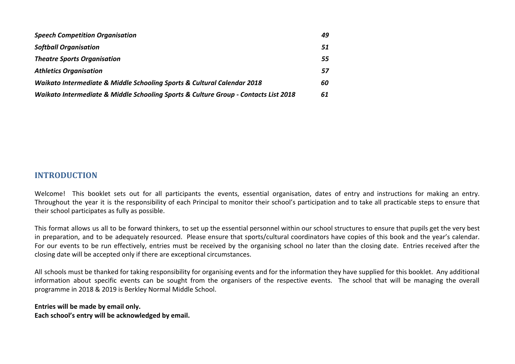| <b>Speech Competition Organisation</b>                                                 | 49 |
|----------------------------------------------------------------------------------------|----|
| <b>Softball Organisation</b>                                                           | 51 |
| <b>Theatre Sports Organisation</b>                                                     | 55 |
| <b>Athletics Organisation</b>                                                          | 57 |
| <b>Waikato Intermediate &amp; Middle Schooling Sports &amp; Cultural Calendar 2018</b> | 60 |
| Waikato Intermediate & Middle Schooling Sports & Culture Group - Contacts List 2018    | 61 |

### **INTRODUCTION**

Welcome! This booklet sets out for all participants the events, essential organisation, dates of entry and instructions for making an entry. Throughout the year it is the responsibility of each Principal to monitor their school's participation and to take all practicable steps to ensure that their school participates as fully as possible.

This format allows us all to be forward thinkers, to set up the essential personnel within our school structures to ensure that pupils get the very best in preparation, and to be adequately resourced. Please ensure that sports/cultural coordinators have copies of this book and the year's calendar. For our events to be run effectively, entries must be received by the organising school no later than the closing date. Entries received after the closing date will be accepted only if there are exceptional circumstances.

All schools must be thanked for taking responsibility for organising events and for the information they have supplied for this booklet. Any additional information about specific events can be sought from the organisers of the respective events. The school that will be managing the overall programme in 2018 & 2019 is Berkley Normal Middle School.

### **Entries will be made by email only. Each school's entry will be acknowledged by email.**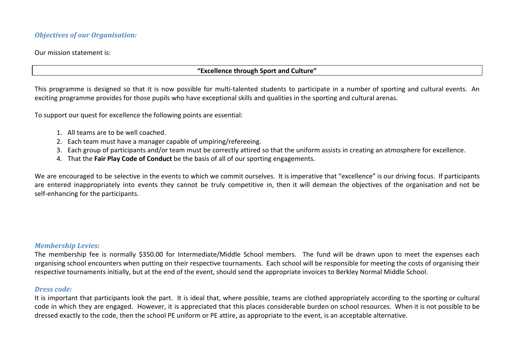### *Objectives of our Organisation:*

Our mission statement is:

#### **"Excellence through Sport and Culture"**

This programme is designed so that it is now possible for multi-talented students to participate in a number of sporting and cultural events. An exciting programme provides for those pupils who have exceptional skills and qualities in the sporting and cultural arenas.

To support our quest for excellence the following points are essential:

- 1. All teams are to be well coached.
- 2. Each team must have a manager capable of umpiring/refereeing.
- 3. Each group of participants and/or team must be correctly attired so that the uniform assists in creating an atmosphere for excellence.
- 4. That the **Fair Play Code of Conduct** be the basis of all of our sporting engagements.

We are encouraged to be selective in the events to which we commit ourselves. It is imperative that "excellence" is our driving focus. If participants are entered inappropriately into events they cannot be truly competitive in, then it will demean the objectives of the organisation and not be self-enhancing for the participants.

### *Membership Levies:*

The membership fee is normally \$350.00 for Intermediate/Middle School members. The fund will be drawn upon to meet the expenses each organising school encounters when putting on their respective tournaments. Each school will be responsible for meeting the costs of organising their respective tournaments initially, but at the end of the event, should send the appropriate invoices to Berkley Normal Middle School.

#### *Dress code:*

It is important that participants look the part. It is ideal that, where possible, teams are clothed appropriately according to the sporting or cultural code in which they are engaged. However, it is appreciated that this places considerable burden on school resources. When it is not possible to be dressed exactly to the code, then the school PE uniform or PE attire, as appropriate to the event, is an acceptable alternative.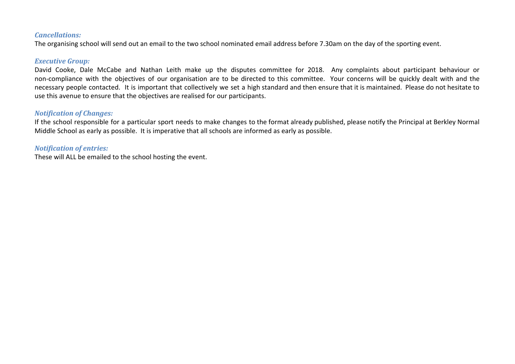#### *Cancellations:*

The organising school will send out an email to the two school nominated email address before 7.30am on the day of the sporting event.

### *Executive Group:*

David Cooke, Dale McCabe and Nathan Leith make up the disputes committee for 2018. Any complaints about participant behaviour or non-compliance with the objectives of our organisation are to be directed to this committee. Your concerns will be quickly dealt with and the necessary people contacted. It is important that collectively we set a high standard and then ensure that it is maintained. Please do not hesitate to use this avenue to ensure that the objectives are realised for our participants.

### *Notification of Changes:*

If the school responsible for a particular sport needs to make changes to the format already published, please notify the Principal at Berkley Normal Middle School as early as possible. It is imperative that all schools are informed as early as possible.

### *Notification of entries:*

These will ALL be emailed to the school hosting the event.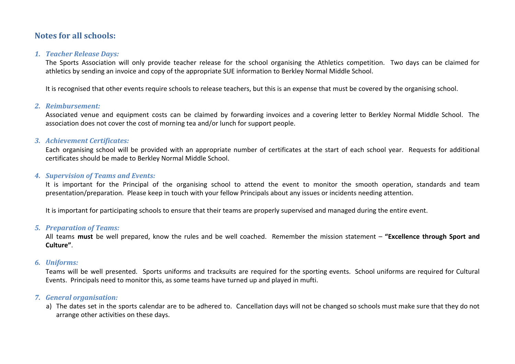### **Notes for all schools:**

#### *1. Teacher Release Days:*

The Sports Association will only provide teacher release for the school organising the Athletics competition. Two days can be claimed for athletics by sending an invoice and copy of the appropriate SUE information to Berkley Normal Middle School.

It is recognised that other events require schools to release teachers, but this is an expense that must be covered by the organising school.

#### *2. Reimbursement:*

Associated venue and equipment costs can be claimed by forwarding invoices and a covering letter to Berkley Normal Middle School. The association does not cover the cost of morning tea and/or lunch for support people.

#### *3. Achievement Certificates:*

Each organising school will be provided with an appropriate number of certificates at the start of each school year. Requests for additional certificates should be made to Berkley Normal Middle School.

#### *4. Supervision of Teams and Events:*

It is important for the Principal of the organising school to attend the event to monitor the smooth operation, standards and team presentation/preparation. Please keep in touch with your fellow Principals about any issues or incidents needing attention.

It is important for participating schools to ensure that their teams are properly supervised and managed during the entire event.

#### *5. Preparation of Teams:*

All teams **must** be well prepared, know the rules and be well coached. Remember the mission statement – **"Excellence through Sport and Culture"**.

#### *6. Uniforms:*

Teams will be well presented. Sports uniforms and tracksuits are required for the sporting events. School uniforms are required for Cultural Events. Principals need to monitor this, as some teams have turned up and played in mufti.

### *7. General organisation:*

a) The dates set in the sports calendar are to be adhered to. Cancellation days will not be changed so schools must make sure that they do not arrange other activities on these days.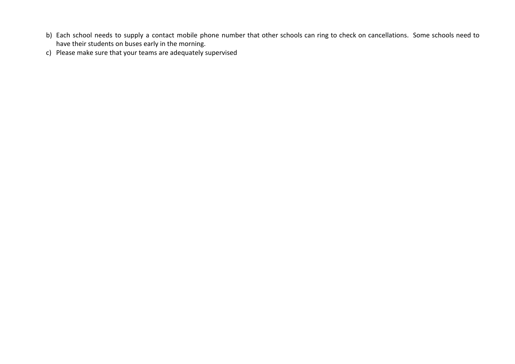- b) Each school needs to supply a contact mobile phone number that other schools can ring to check on cancellations. Some schools need to have their students on buses early in the morning.
- c) Please make sure that your teams are adequately supervised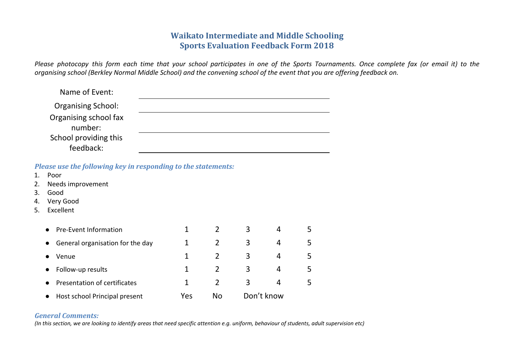### **Waikato Intermediate and Middle Schooling Sports Evaluation Feedback Form 2018**

Please photocopy this form each time that your school participates in one of the Sports Tournaments. Once complete fax (or email it) to the *organising school (Berkley Normal Middle School) and the convening school of the event that you are offering feedback on.*

| Name of Event:                   |  |
|----------------------------------|--|
| <b>Organising School:</b>        |  |
| Organising school fax<br>number: |  |
| School providing this            |  |
| feedback:                        |  |

*Please use the following key in responding to the statements:*

| 1. | Poor                                          |              |                |   |            |   |
|----|-----------------------------------------------|--------------|----------------|---|------------|---|
| 2. | Needs improvement                             |              |                |   |            |   |
| 3. | Good                                          |              |                |   |            |   |
| 4. | Very Good                                     |              |                |   |            |   |
| 5. | Excellent                                     |              |                |   |            |   |
|    |                                               |              |                |   |            |   |
|    | <b>Pre-Event Information</b><br>$\bullet$     | 1            | 2              | 3 | 4          | 5 |
|    | General organisation for the day<br>$\bullet$ | $\mathbf{1}$ | 2              | 3 | 4          | 5 |
|    | Venue                                         | 1            | 2              | 3 | 4          | 5 |
|    | Follow-up results<br>$\bullet$                | 1            | $\overline{2}$ | 3 | 4          | 5 |
|    | Presentation of certificates<br>$\bullet$     | $\mathbf{1}$ | $\overline{2}$ | 3 | 4          | 5 |
|    | Host school Principal present<br>$\bullet$    | Yes          | <b>No</b>      |   | Don't know |   |

### *General Comments:*

(In this section, we are looking to identify areas that need specific attention e.g. uniform, behaviour of students, adult supervision etc)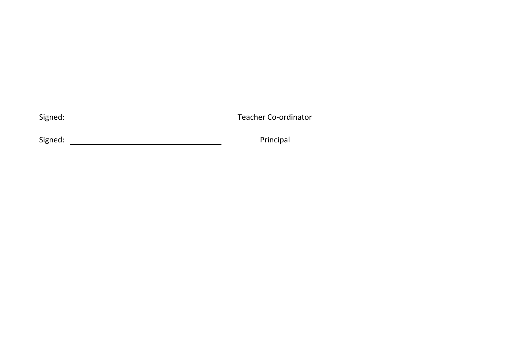Sig n e d: T eacher Co-ordinator

Sig n e d: P

rin cip al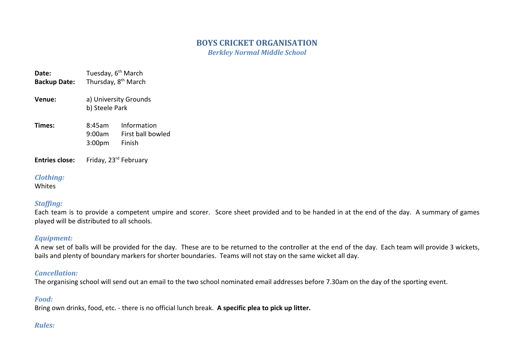### **BOYS CRICKET ORGANISATION**

*Berkley Normal Middle School*

**Date:** Tuesday, 6<sup>th</sup> March Backup Date: Thursday, 8<sup>th</sup> March **Venue:** a) University Grounds b) Steele Park **Times:** 8:45am Information 9:00am First ball bowled 3:00pm Finish

**Entries close:** Friday, 23rd February

### *Clothing:*

Whites

### *Staffing:*

Each team is to provide a competent umpire and scorer. Score sheet provided and to be handed in at the end of the day. A summary of games played will be distributed to all schools.

### *Equipment:*

A new set of balls will be provided for the day. These are to be returned to the controller at the end of the day. Each team will provide 3 wickets, bails and plenty of boundary markers for shorter boundaries. Teams will not stay on the same wicket all day.

### *Cancellation:*

The organising school will send out an email to the two school nominated email addresses before 7.30am on the day of the sporting event.

### *Food:*

Bring own drinks, food, etc. - there is no official lunch break. **A specific plea to pick up litter.**

### *Rules:*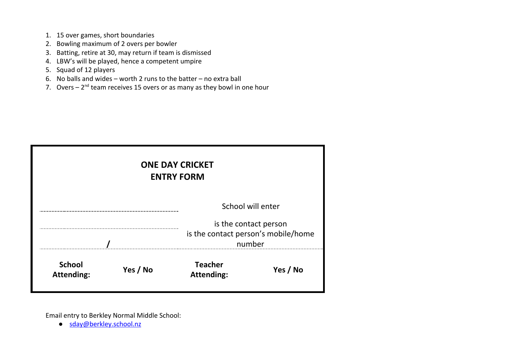- 1. 15 over games, short boundaries
- 2. Bowling maximum of 2 overs per bowler
- 3. Batting, retire at 30, may return if team is dismissed
- 4. LBW's will be played, hence a competent umpire
- 5. Squad of 12 players
- 6. No balls and wides worth 2 runs to the batter no extra ball
- 7. Overs  $-2<sup>nd</sup>$  team receives 15 overs or as many as they bowl in one hour

| <b>ONE DAY CRICKET</b><br><b>ENTRY FORM</b>                            |          |                                     |          |  |  |  |
|------------------------------------------------------------------------|----------|-------------------------------------|----------|--|--|--|
| School will enter                                                      |          |                                     |          |  |  |  |
| is the contact person<br>is the contact person's mobile/home<br>number |          |                                     |          |  |  |  |
| <b>School</b><br><b>Attending:</b>                                     | Yes / No | <b>Teacher</b><br><b>Attending:</b> | Yes / No |  |  |  |

Email entry to Berkley Normal Middle School:

● [sday@berkley.school.nz](mailto:sday@berkley.school.nz)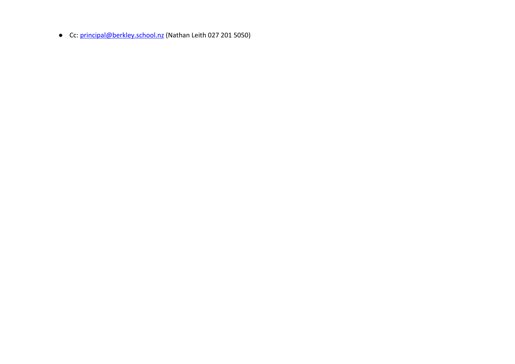● Cc: [principal@berkley.school.nz](mailto:principal@berkley.school.nz) (Nathan Leith 027 201 5050)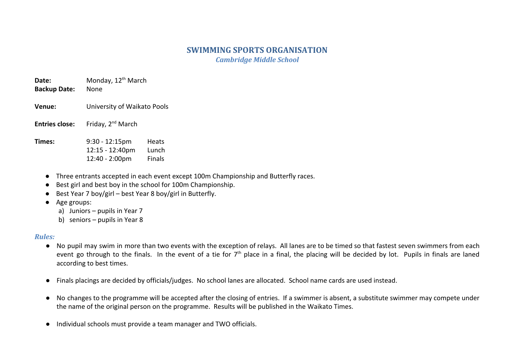# **SWIMMING SPORTS ORGANISATION**

*Cambridge Middle School*

**Date:** Monday, 12<sup>th</sup> March **Backup Date:** None

- **Venue:** University of Waikato Pools
- **Entries close:** Friday, 2<sup>nd</sup> March

**Times:** 9:30 - 12:15pm Heats 12:15 - 12:40pm Lunch 12:40 - 2:00pm Finals

- Three entrants accepted in each event except 100m Championship and Butterfly races.
- Best girl and best boy in the school for 100m Championship.
- Best Year 7 boy/girl best Year 8 boy/girl in Butterfly.
- Age groups:
	- a) Juniors pupils in Year 7
	- b) seniors pupils in Year 8

### *Rules:*

- No pupil may swim in more than two events with the exception of relays. All lanes are to be timed so that fastest seven swimmers from each event go through to the finals. In the event of a tie for 7<sup>th</sup> place in a final, the placing will be decided by lot. Pupils in finals are laned according to best times.
- Finals placings are decided by officials/judges. No school lanes are allocated. School name cards are used instead.
- No changes to the programme will be accepted after the closing of entries. If a swimmer is absent, a substitute swimmer may compete under the name of the original person on the programme. Results will be published in the Waikato Times.
- Individual schools must provide a team manager and TWO officials.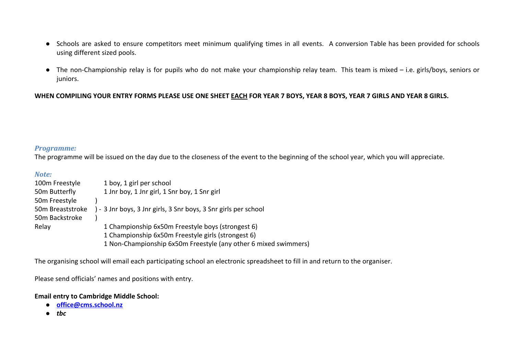- Schools are asked to ensure competitors meet minimum qualifying times in all events. A conversion Table has been provided for schools using different sized pools.
- The non-Championship relay is for pupils who do not make your championship relay team. This team is mixed i.e. girls/boys, seniors or juniors.

#### **WHEN COMPILING YOUR ENTRY FORMS PLEASE USE ONE SHEET EACH FOR YEAR 7 BOYS, YEAR 8 BOYS, YEAR 7 GIRLS AND YEAR 8 GIRLS.**

#### *Programme:*

The programme will be issued on the day due to the closeness of the event to the beginning of the school year, which you will appreciate.

#### *Note:*

| 100m Freestyle   | 1 boy, 1 girl per school                                        |
|------------------|-----------------------------------------------------------------|
| 50m Butterfly    | 1 Jnr boy, 1 Jnr girl, 1 Snr boy, 1 Snr girl                    |
| 50m Freestyle    |                                                                 |
| 50m Breaststroke | ) - 3 Jnr boys, 3 Jnr girls, 3 Snr boys, 3 Snr girls per school |
| 50m Backstroke   |                                                                 |
| Relay            | 1 Championship 6x50m Freestyle boys (strongest 6)               |
|                  | 1 Championship 6x50m Freestyle girls (strongest 6)              |
|                  | 1 Non-Championship 6x50m Freestyle (any other 6 mixed swimmers) |

The organising school will email each participating school an electronic spreadsheet to fill in and return to the organiser.

Please send officials' names and positions with entry.

#### **Email entry to Cambridge Middle School:**

- **● [office@cms.school.nz](mailto:office@cms.school.nz)**
- **●** *tbc*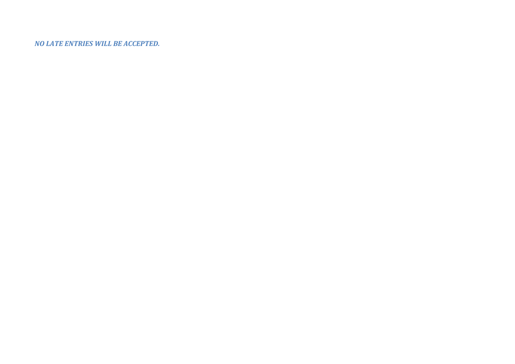*NO LATE ENTRIES WILL BE ACCEPTED.*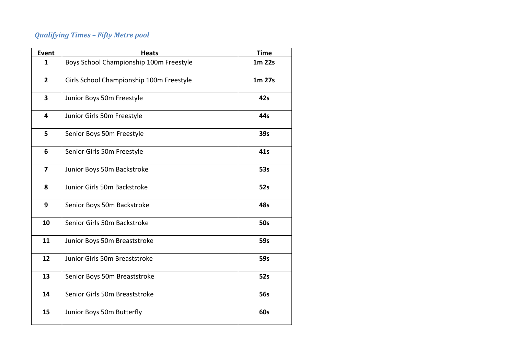# *Qualifying Times – Fifty Metre pool*

| <b>Event</b>            | <b>Heats</b>                             | <b>Time</b> |
|-------------------------|------------------------------------------|-------------|
| $\mathbf{1}$            | Boys School Championship 100m Freestyle  | 1m 22s      |
| $\overline{2}$          | Girls School Championship 100m Freestyle | 1m 27s      |
| $\overline{\mathbf{3}}$ | Junior Boys 50m Freestyle                | 42s         |
| 4                       | Junior Girls 50m Freestyle               | 44s         |
| 5                       | Senior Boys 50m Freestyle                | 39s         |
| 6                       | Senior Girls 50m Freestyle               | 41s         |
| $\overline{7}$          | Junior Boys 50m Backstroke               | 53s         |
| 8                       | Junior Girls 50m Backstroke              | 52s         |
| 9                       | Senior Boys 50m Backstroke               | 48s         |
| 10                      | Senior Girls 50m Backstroke              | <b>50s</b>  |
| 11                      | Junior Boys 50m Breaststroke             | 59s         |
| 12                      | Junior Girls 50m Breaststroke            | 59s         |
| 13                      | Senior Boys 50m Breaststroke             | 52s         |
| 14                      | Senior Girls 50m Breaststroke            | <b>56s</b>  |
| 15                      | Junior Boys 50m Butterfly                | 60s         |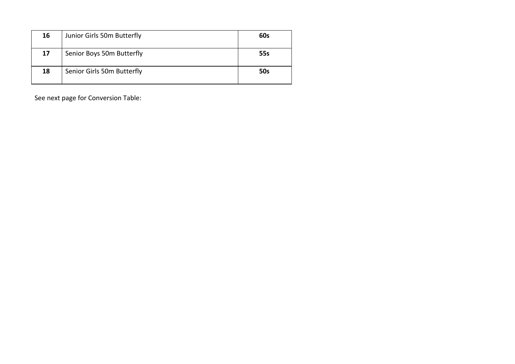| 16 | Junior Girls 50m Butterfly | 60s        |
|----|----------------------------|------------|
| 17 | Senior Boys 50m Butterfly  | 55s        |
| 18 | Senior Girls 50m Butterfly | <b>50s</b> |

See next page for Conversion Table: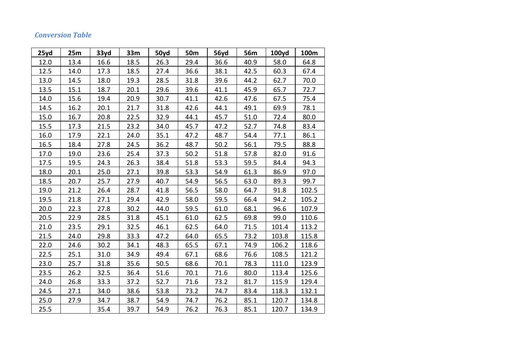### *Conversion Table*

| 25yd | 25m  | 33yd | 33m  | 50yd | 50m  | 56yd | 56m  | 100yd | 100m  |
|------|------|------|------|------|------|------|------|-------|-------|
| 12.0 | 13.4 | 16.6 | 18.5 | 26.3 | 29.4 | 36.6 | 40.9 | 58.0  | 64.8  |
| 12.5 | 14.0 | 17.3 | 18.5 | 27.4 | 36.6 | 38.1 | 42.5 | 60.3  | 67.4  |
| 13.0 | 14.5 | 18.0 | 19.3 | 28.5 | 31.8 | 39.6 | 44.2 | 62.7  | 70.0  |
| 13.5 | 15.1 | 18.7 | 20.1 | 29.6 | 39.6 | 41.1 | 45.9 | 65.7  | 72.7  |
| 14.0 | 15.6 | 19.4 | 20.9 | 30.7 | 41.1 | 42.6 | 47.6 | 67.5  | 75.4  |
| 14.5 | 16.2 | 20.1 | 21.7 | 31.8 | 42.6 | 44.1 | 49.1 | 69.9  | 78.1  |
| 15.0 | 16.7 | 20.8 | 22.5 | 32.9 | 44.1 | 45.7 | 51.0 | 72.4  | 80.0  |
| 15.5 | 17.3 | 21.5 | 23.2 | 34.0 | 45.7 | 47.2 | 52.7 | 74.8  | 83.4  |
| 16.0 | 17.9 | 22.1 | 24.0 | 35.1 | 47.2 | 48.7 | 54.4 | 77.1  | 86.1  |
| 16.5 | 18.4 | 27.8 | 24.5 | 36.2 | 48.7 | 50.2 | 56.1 | 79.5  | 88.8  |
| 17.0 | 19.0 | 23.6 | 25.4 | 37.3 | 50.2 | 51.8 | 57.8 | 82.0  | 91.6  |
| 17.5 | 19.5 | 24.3 | 26.3 | 38.4 | 51.8 | 53.3 | 59.5 | 84.4  | 94.3  |
| 18.0 | 20.1 | 25.0 | 27.1 | 39.8 | 53.3 | 54.9 | 61.3 | 86.9  | 97.0  |
| 18.5 | 20.7 | 25.7 | 27.9 | 40.7 | 54.9 | 56.5 | 63.0 | 89.3  | 99.7  |
| 19.0 | 21.2 | 26.4 | 28.7 | 41.8 | 56.5 | 58.0 | 64.7 | 91.8  | 102.5 |
| 19.5 | 21.8 | 27.1 | 29.4 | 42.9 | 58.0 | 59.5 | 66.4 | 94.2  | 105.2 |
| 20.0 | 22.3 | 27.8 | 30.2 | 44.0 | 59.5 | 61.0 | 68.1 | 96.6  | 107.9 |
| 20.5 | 22.9 | 28.5 | 31.8 | 45.1 | 61.0 | 62.5 | 69.8 | 99.0  | 110.6 |
| 21.0 | 23.5 | 29.1 | 32.5 | 46.1 | 62.5 | 64.0 | 71.5 | 101.4 | 113.2 |
| 21.5 | 24.0 | 29.8 | 33.3 | 47.2 | 64.0 | 65.5 | 73.2 | 103.8 | 115.8 |
| 22.0 | 24.6 | 30.2 | 34.1 | 48.3 | 65.5 | 67.1 | 74.9 | 106.2 | 118.6 |
| 22.5 | 25.1 | 31.0 | 34.9 | 49.4 | 67.1 | 68.6 | 76.6 | 108.5 | 121.2 |
| 23.0 | 25.7 | 31.8 | 35.6 | 50.5 | 68.6 | 70.1 | 78.3 | 111.0 | 123.9 |
| 23.5 | 26.2 | 32.5 | 36.4 | 51.6 | 70.1 | 71.6 | 80.0 | 113.4 | 125.6 |
| 24.0 | 26.8 | 33.3 | 37.2 | 52.7 | 71.6 | 73.2 | 81.7 | 115.9 | 129.4 |
| 24.5 | 27.1 | 34.0 | 38.6 | 53.8 | 73.2 | 74.7 | 83.4 | 118.3 | 132.1 |
| 25.0 | 27.9 | 34.7 | 38.7 | 54.9 | 74.7 | 76.2 | 85.1 | 120.7 | 134.8 |
| 25.5 |      | 35.4 | 39.7 | 54.9 | 76.2 | 76.3 | 85.1 | 120.7 | 134.9 |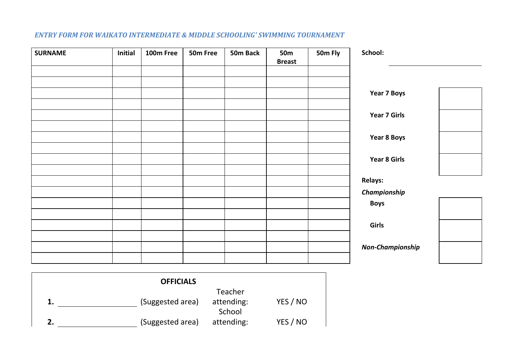| <b>SURNAME</b> | Initial | 100m Free | 50m Free | 50m Back | <b>50m</b><br><b>Breast</b> | 50m Fly | School:                 |
|----------------|---------|-----------|----------|----------|-----------------------------|---------|-------------------------|
|                |         |           |          |          |                             |         |                         |
|                |         |           |          |          |                             |         | Year 7 Boys             |
|                |         |           |          |          |                             |         | <b>Year 7 Girls</b>     |
|                |         |           |          |          |                             |         |                         |
|                |         |           |          |          |                             |         | Year 8 Boys             |
|                |         |           |          |          |                             |         | <b>Year 8 Girls</b>     |
|                |         |           |          |          |                             |         | <b>Relays:</b>          |
|                |         |           |          |          |                             |         | Championship            |
|                |         |           |          |          |                             |         | <b>Boys</b>             |
|                |         |           |          |          |                             |         |                         |
|                |         |           |          |          |                             |         | Girls                   |
|                |         |           |          |          |                             |         | <b>Non-Championship</b> |
|                |         |           |          |          |                             |         |                         |

### *ENTRY FORM FOR WAIKATO INTERMEDIATE & MIDDLE SCHOOLING' SWIMMING TOURNAMENT*

| <b>OFFICIALS</b> |                  |            |          |  |  |  |  |
|------------------|------------------|------------|----------|--|--|--|--|
|                  |                  | Teacher    |          |  |  |  |  |
| 1.               | (Suggested area) | attending: | YES / NO |  |  |  |  |
|                  |                  | School     |          |  |  |  |  |
|                  | (Suggested area) | attending: | YES / NO |  |  |  |  |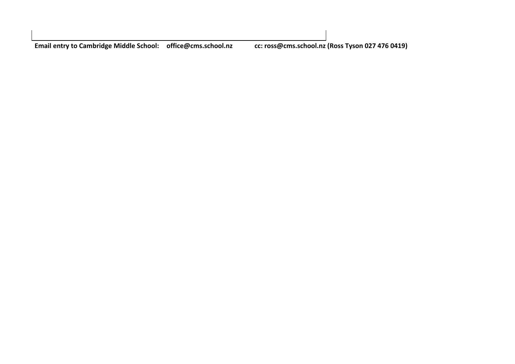**Email entry to Cambridge Middle School: [office@cms.school.nz](mailto:office@cms.school.nz) cc: [ross@cms.school.nz](mailto:ross@cms.school.nz) (Ross Tyson 027 476 0419)**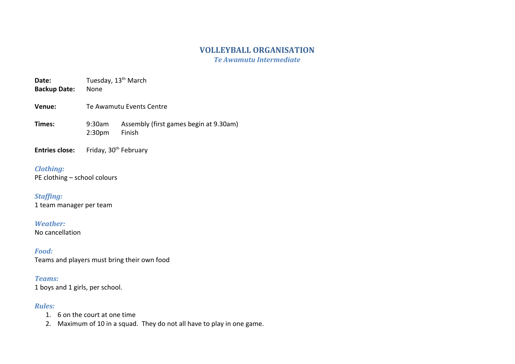### **VOLLEYBALL ORGANISATION**

*Te Awamutu Intermediate*

**Date:** Tuesday, 13<sup>th</sup> March

- **Backup Date:** None
- **Venue:** Te Awamutu Events Centre

**Times:** 9:30am Assembly (first games begin at 9.30am) 2:30pm Finish

**Entries close:** Friday, 30<sup>th</sup> February

### *Clothing:*

PE clothing – school colours

### *Staffing:*

1 team manager per team

### *Weather:*

No cancellation

*Food:* Teams and players must bring their own food

### *Teams:*

1 boys and 1 girls, per school.

### *Rules:*

- 1. 6 on the court at one time
- 2. Maximum of 10 in a squad. They do not all have to play in one game.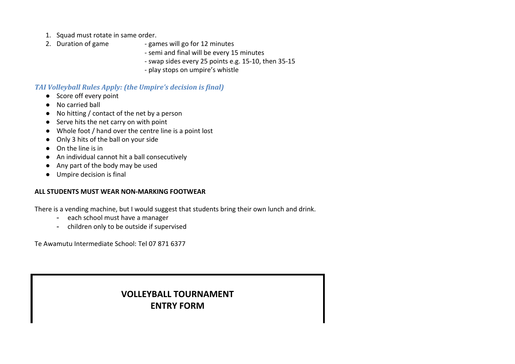- 1. Squad must rotate in same order.
- 
- 2. Duration of game games will go for 12 minutes
	- semi and final will be every 15 minutes
	- swap sides every 25 points e.g. 15-10, then 35-15
	- play stops on umpire's whistle

### *TAI Volleyball Rules Apply: (the Umpire's decision is final)*

- Score off every point
- No carried ball
- No hitting / contact of the net by a person
- Serve hits the net carry on with point
- Whole foot / hand over the centre line is a point lost
- Only 3 hits of the ball on your side
- On the line is in
- An individual cannot hit a ball consecutively
- Any part of the body may be used
- Umpire decision is final

### **ALL STUDENTS MUST WEAR NON-MARKING FOOTWEAR**

There is a vending machine, but I would suggest that students bring their own lunch and drink.

- each school must have a manager
- children only to be outside if supervised

Te Awamutu Intermediate School: Tel 07 871 6377

# **VOLLEYBALL TOURNAMENT ENTRY FORM**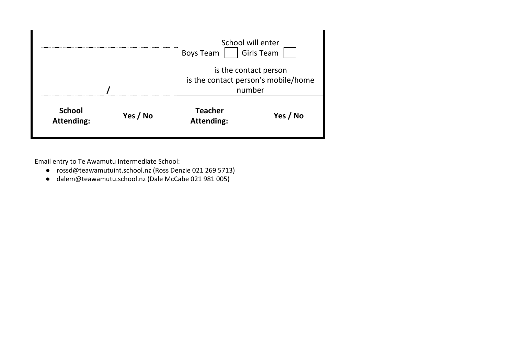|                                                |  | <b>Boys Team</b>                    | School will enter<br><b>Girls Team</b> |
|------------------------------------------------|--|-------------------------------------|----------------------------------------|
|                                                |  | is the contact person's mobile/home | is the contact person<br>number        |
| <b>School</b><br>Yes / No<br><b>Attending:</b> |  | <b>Teacher</b><br><b>Attending:</b> | Yes / No                               |

Email entry to Te Awamutu Intermediate School:

- [rossd@teawamutuint.school.nz](mailto:rossd@teawamutuint.school.nz) (Ross Denzie 021 269 5713)
- [dalem@teawamutu.school.nz](mailto:dalem@teawamutu.school.nz) (Dale McCabe 021 981 005)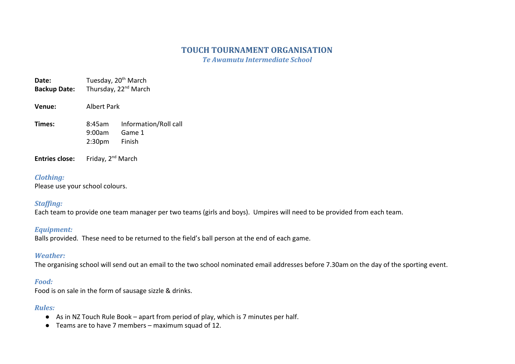### **TOUCH TOURNAMENT ORGANISATION**

*Te Awamutu Intermediate School*

**Date:** Tuesday, 20<sup>th</sup> March Backup Date: Thursday, 22<sup>nd</sup> March

**Venue:** Albert Park

**Times:** 8:45am Information/Roll call 9:00am Game 1 2:30pm Finish

**Entries close:** Friday, 2<sup>nd</sup> March

#### *Clothing:*

Please use your school colours.

### *Staffing:*

Each team to provide one team manager per two teams (girls and boys). Umpires will need to be provided from each team.

### *Equipment:*

Balls provided. These need to be returned to the field's ball person at the end of each game.

### *Weather:*

The organising school will send out an email to the two school nominated email addresses before 7.30am on the day of the sporting event.

### *Food:*

Food is on sale in the form of sausage sizzle & drinks.

### *Rules:*

- As in NZ Touch Rule Book apart from period of play, which is 7 minutes per half.
- Teams are to have 7 members maximum squad of 12.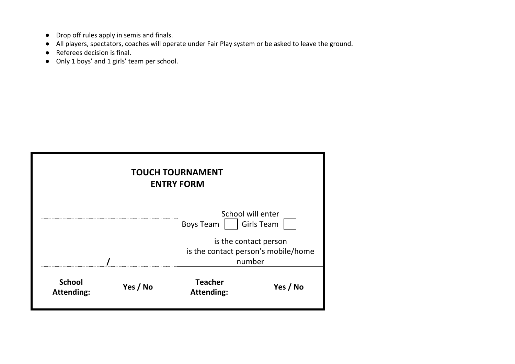- Drop off rules apply in semis and finals.
- All players, spectators, coaches will operate under Fair Play system or be asked to leave the ground.
- Referees decision is final.
- Only 1 boys' and 1 girls' team per school.

| <b>TOUCH TOURNAMENT</b><br><b>ENTRY FORM</b> |          |                                     |                                                              |
|----------------------------------------------|----------|-------------------------------------|--------------------------------------------------------------|
|                                              |          | <b>Boys Team</b>                    | School will enter<br><b>Girls Team</b>                       |
|                                              |          |                                     | is the contact person<br>is the contact person's mobile/home |
|                                              |          |                                     | number                                                       |
| <b>School</b><br><b>Attending:</b>           | Yes / No | <b>Teacher</b><br><b>Attending:</b> | Yes / No                                                     |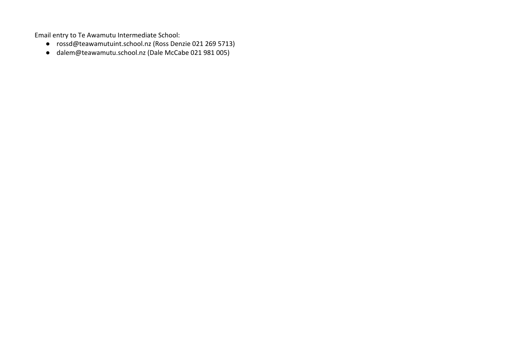Email entry to Te Awamutu Intermediate School:

- [rossd@teawamutuint.school.nz](mailto:rossd@teawamutuint.school.nz) (Ross Denzie 021 269 5713)
- [dalem@teawamutu.school.nz](mailto:dalem@teawamutu.school.nz) (Dale McCabe 021 981 005)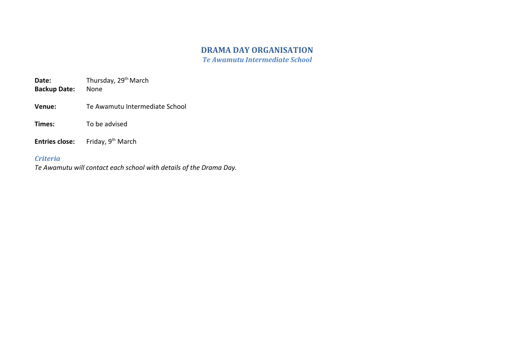# **DRAMA DAY ORGANISATION**

*Te Awamutu Intermediate School*

**Date:** Thursday, 29<sup>th</sup> March **Backup Date:** None

- **Backup Date:**
- **Venue:** Te Awamutu Intermediate School
- **Times:** To be advised
- **Entries close:** Friday, 9<sup>th</sup> March

### *Criteria*

*Te Awamutu will contact each school with details of the Drama Day.*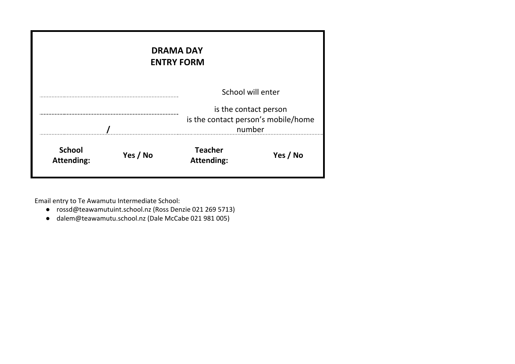| <b>DRAMA DAY</b><br><b>ENTRY FORM</b> |                   |                                                                        |          |
|---------------------------------------|-------------------|------------------------------------------------------------------------|----------|
|                                       | School will enter |                                                                        |          |
|                                       |                   | is the contact person<br>is the contact person's mobile/home<br>number |          |
| <b>School</b><br><b>Attending:</b>    | Yes / No          | <b>Teacher</b><br><b>Attending:</b>                                    | Yes / No |

Email entry to Te Awamutu Intermediate School:

- [rossd@teawamutuint.school.nz](mailto:rossd@teawamutuint.school.nz) (Ross Denzie 021 269 5713)
- [dalem@teawamutu.school.nz](mailto:dalem@teawamutu.school.nz) (Dale McCabe 021 981 005)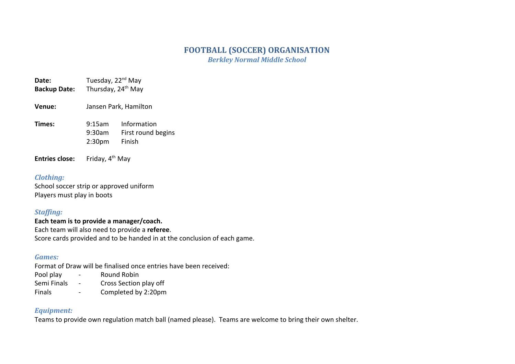### **FOOTBALL (SOCCER) ORGANISATION** *Berkley Normal Middle School*

- **Date:** Tuesday, 22<sup>nd</sup> May Backup Date: Thursday, 24<sup>th</sup> May
- **Venue:** Jansen Park, Hamilton
- **Times:** 9:15am Information 9:30am First round begins 2:30pm Finish

**Entries close:** Friday, 4<sup>th</sup> May

### *Clothing:*

School soccer strip or approved uniform Players must play in boots

### *Staffing:*

**Each team is to provide a manager/coach.** Each team will also need to provide a **referee**. Score cards provided and to be handed in at the conclusion of each game.

### *Games:*

Format of Draw will be finalised once entries have been received:

- Pool play Round Robin
- Semi Finals Cross Section play off
- Finals Completed by 2:20pm

### *Equipment:*

Teams to provide own regulation match ball (named please). Teams are welcome to bring their own shelter.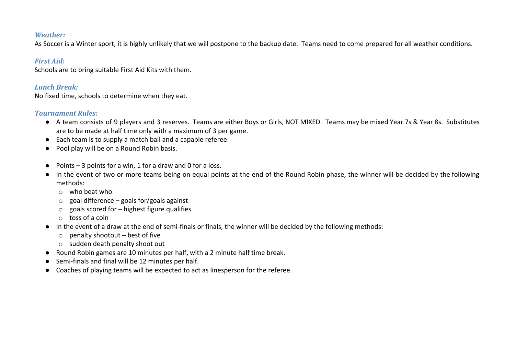#### *Weather:*

As Soccer is a Winter sport, it is highly unlikely that we will postpone to the backup date. Teams need to come prepared for all weather conditions.

### *First Aid:*

Schools are to bring suitable First Aid Kits with them.

### *Lunch Break:*

No fixed time, schools to determine when they eat.

### *Tournament Rules:*

- A team consists of 9 players and 3 reserves. Teams are either Boys or Girls, NOT MIXED. Teams may be mixed Year 7s & Year 8s. Substitutes are to be made at half time only with a maximum of 3 per game.
- Each team is to supply a match ball and a capable referee.
- Pool play will be on a Round Robin basis.
- Points  $-3$  points for a win, 1 for a draw and 0 for a loss.
- In the event of two or more teams being on equal points at the end of the Round Robin phase, the winner will be decided by the following methods:
	- $\circ$  who beat who
	- $\circ$  goal difference goals for/goals against
	- $\circ$  goals scored for highest figure qualifies
	- o toss of a coin
- In the event of a draw at the end of semi-finals or finals, the winner will be decided by the following methods:
	- $\circ$  penalty shootout best of five
	- o sudden death penalty shoot out
- Round Robin games are 10 minutes per half, with a 2 minute half time break.
- Semi-finals and final will be 12 minutes per half.
- Coaches of playing teams will be expected to act as linesperson for the referee.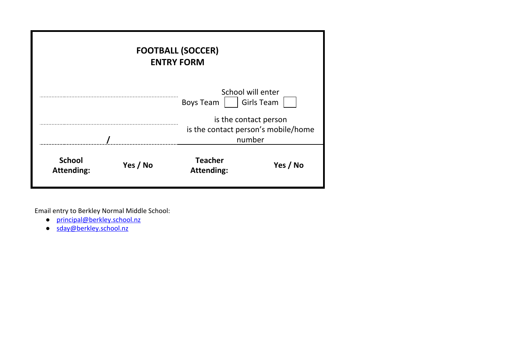| <b>FOOTBALL (SOCCER)</b><br><b>ENTRY FORM</b> |          |                                     |                                                                        |
|-----------------------------------------------|----------|-------------------------------------|------------------------------------------------------------------------|
|                                               |          | <b>Boys Team</b>                    | School will enter<br><b>Girls Team</b>                                 |
|                                               |          |                                     | is the contact person<br>is the contact person's mobile/home<br>number |
| <b>School</b><br><b>Attending:</b>            | Yes / No | <b>Teacher</b><br><b>Attending:</b> | Yes / No                                                               |

Email entry to Berkley Normal Middle School:

- [principal@berkley.school.nz](mailto:principal@berkley.school.nz)
- [sday@berkley.school.nz](mailto:sday@berkley.school.nz)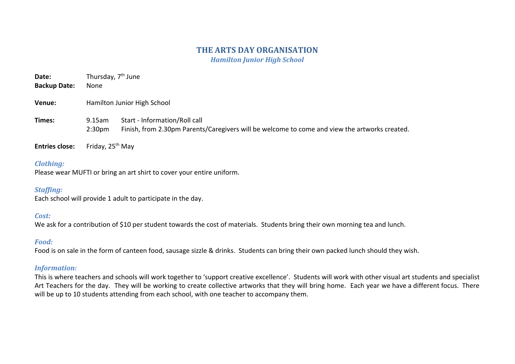## **THE ARTS DAY ORGANISATION**

*Hamilton Junior High School*

| Date:<br><b>Backup Date:</b> | Thursday, 7 <sup>th</sup> June<br>None |                                                                                                                                |
|------------------------------|----------------------------------------|--------------------------------------------------------------------------------------------------------------------------------|
| Venue:                       | Hamilton Junior High School            |                                                                                                                                |
| Times:                       | 9.15am<br>2:30 <sub>pm</sub>           | Start - Information/Roll call<br>Finish, from 2.30pm Parents/Caregivers will be welcome to come and view the artworks created. |
| <b>Entries close:</b>        | Friday, 25 <sup>th</sup> May           |                                                                                                                                |

#### *Clothing:*

Please wear MUFTI or bring an art shirt to cover your entire uniform.

#### *Staffing:*

Each school will provide 1 adult to participate in the day.

#### *Cost:*

We ask for a contribution of \$10 per student towards the cost of materials. Students bring their own morning tea and lunch.

#### *Food:*

Food is on sale in the form of canteen food, sausage sizzle & drinks. Students can bring their own packed lunch should they wish.

#### *Information:*

This is where teachers and schools will work together to 'support creative excellence'. Students will work with other visual art students and specialist Art Teachers for the day. They will be working to create collective artworks that they will bring home. Each year we have a different focus. There will be up to 10 students attending from each school, with one teacher to accompany them.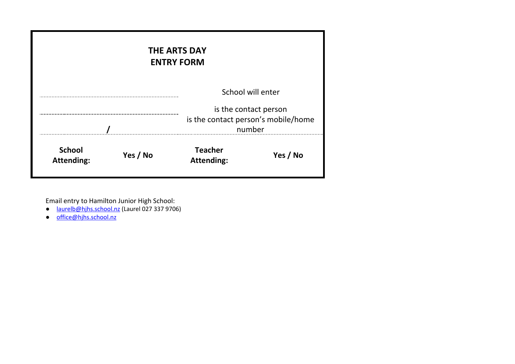|                                    |          | <b>THE ARTS DAY</b><br><b>ENTRY FORM</b> |                                                                                   |
|------------------------------------|----------|------------------------------------------|-----------------------------------------------------------------------------------|
|                                    |          |                                          | School will enter<br>is the contact person<br>is the contact person's mobile/home |
| number                             |          |                                          |                                                                                   |
| <b>School</b><br><b>Attending:</b> | Yes / No | <b>Teacher</b><br><b>Attending:</b>      | Yes / No                                                                          |

Email entry to Hamilton Junior High School:

- [laurelb@hjhs.school.nz](mailto:laurelb@hjhs.school.nz) (Laurel 027 337 9706)
- [office@hjhs.school.nz](mailto:office@hjhs.school.nz)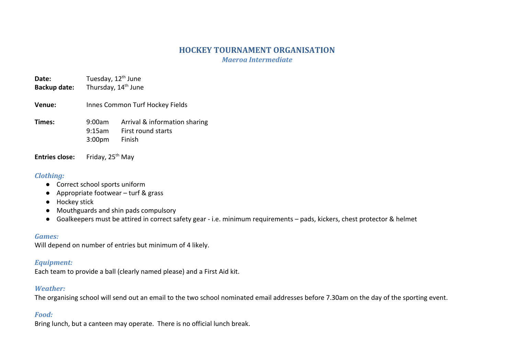# **HOCKEY TOURNAMENT ORGANISATION**

*Maeroa Intermediate*

**Date:** Tuesday, 12<sup>th</sup> June Backup date: Thursday, 14<sup>th</sup> June

**Venue:** Innes Common Turf Hockey Fields

**Times:** 9:00am Arrival & information sharing 9:15am First round starts 3:00pm Finish

**Entries close:** Friday, 25<sup>th</sup> May

## *Clothing:*

- Correct school sports uniform
- Appropriate footwear turf & grass
- Hockey stick
- Mouthguards and shin pads compulsory
- Goalkeepers must be attired in correct safety gear i.e. minimum requirements pads, kickers, chest protector & helmet

### *Games:*

Will depend on number of entries but minimum of 4 likely.

# *Equipment:*

Each team to provide a ball (clearly named please) and a First Aid kit.

# *Weather:*

The organising school will send out an email to the two school nominated email addresses before 7.30am on the day of the sporting event.

# *Food:*

Bring lunch, but a canteen may operate. There is no official lunch break.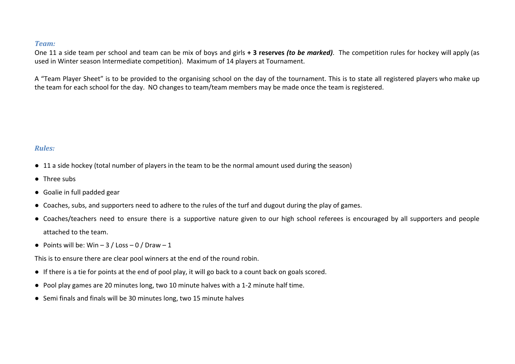#### *Team:*

One 11 a side team per school and team can be mix of boys and girls **+ 3 reserves** *(to be marked)*. The competition rules for hockey will apply (as used in Winter season Intermediate competition). Maximum of 14 players at Tournament.

A "Team Player Sheet" is to be provided to the organising school on the day of the tournament. This is to state all registered players who make up the team for each school for the day. NO changes to team/team members may be made once the team is registered.

#### *Rules:*

- 11 a side hockey (total number of players in the team to be the normal amount used during the season)
- Three subs
- Goalie in full padded gear
- Coaches, subs, and supporters need to adhere to the rules of the turf and dugout during the play of games.
- Coaches/teachers need to ensure there is a supportive nature given to our high school referees is encouraged by all supporters and people attached to the team.
- Points will be: Win  $-3$  / Loss  $-0$  / Draw  $-1$

This is to ensure there are clear pool winners at the end of the round robin.

- If there is a tie for points at the end of pool play, it will go back to a count back on goals scored.
- Pool play games are 20 minutes long, two 10 minute halves with a 1-2 minute half time.
- Semi finals and finals will be 30 minutes long, two 15 minute halves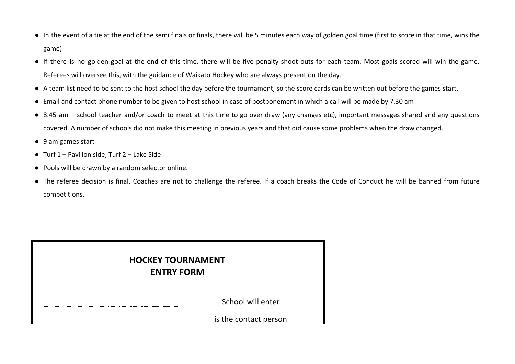- In the event of a tie at the end of the semi finals or finals, there will be 5 minutes each way of golden goal time (first to score in that time, wins the game)
- If there is no golden goal at the end of this time, there will be five penalty shoot outs for each team. Most goals scored will win the game. Referees will oversee this, with the guidance of Waikato Hockey who are always present on the day.
- A team list need to be sent to the host school the day before the tournament, so the score cards can be written out before the games start.
- Email and contact phone number to be given to host school in case of postponement in which a call will be made by 7.30 am
- 8.45 am school teacher and/or coach to meet at this time to go over draw (any changes etc), important messages shared and any questions covered. A number of schools did not make this meeting in previous years and that did cause some problems when the draw changed.
- 9 am games start
- Turf 1 Pavilion side; Turf 2 Lake Side
- Pools will be drawn by a random selector online.
- The referee decision is final. Coaches are not to challenge the referee. If a coach breaks the Code of Conduct he will be banned from future competitions.

| <b>HOCKEY TOURNAMENT</b><br><b>ENTRY FORM</b> |                       |
|-----------------------------------------------|-----------------------|
|                                               | School will enter     |
|                                               | is the contact person |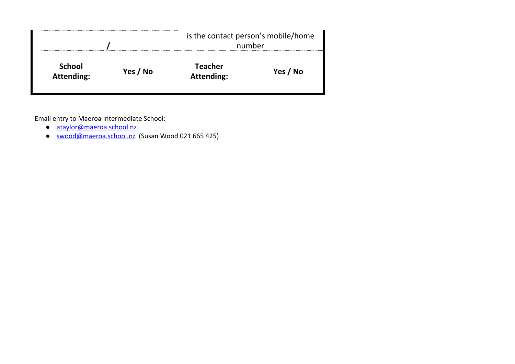|                                    |          |                                     | is the contact person's mobile/home<br>number |  |
|------------------------------------|----------|-------------------------------------|-----------------------------------------------|--|
| <b>School</b><br><b>Attending:</b> | Yes / No | <b>Teacher</b><br><b>Attending:</b> | Yes / No                                      |  |

Email entry to Maeroa Intermediate School:

- [ataylor@maeroa.school.nz](mailto:ataylor@maeroa.school.nz)
- [swood@maeroa.school.nz](mailto:swood@maeroa.school.nz) (Susan Wood 021 665 425)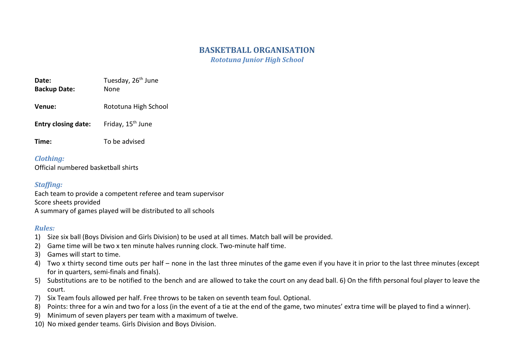# **BASKETBALL ORGANISATION**

*Rototuna Junior High School*

| Date:               | Tuesday, 26 <sup>th</sup> June |
|---------------------|--------------------------------|
| <b>Backup Date:</b> | None                           |

- **Venue:** Rototuna High School
- **Entry closing date:** Friday, 15<sup>th</sup> June
- **Time:** To be advised

*Clothing:* Official numbered basketball shirts

# *Staffing:*

Each team to provide a competent referee and team supervisor Score sheets provided A summary of games played will be distributed to all schools

# *Rules:*

- 1) Size six ball (Boys Division and Girls Division) to be used at all times. Match ball will be provided.
- 2) Game time will be two x ten minute halves running clock. Two-minute half time.
- 3) Games will start to time.
- 4) Two x thirty second time outs per half none in the last three minutes of the game even if you have it in prior to the last three minutes (except for in quarters, semi-finals and finals).
- 5) Substitutions are to be notified to the bench and are allowed to take the court on any dead ball. 6) On the fifth personal foul player to leave the court.
- 7) Six Team fouls allowed per half. Free throws to be taken on seventh team foul. Optional.
- 8) Points: three for a win and two for a loss (in the event of a tie at the end of the game, two minutes' extra time will be played to find a winner).
- 9) Minimum of seven players per team with a maximum of twelve.
- 10) No mixed gender teams. Girls Division and Boys Division.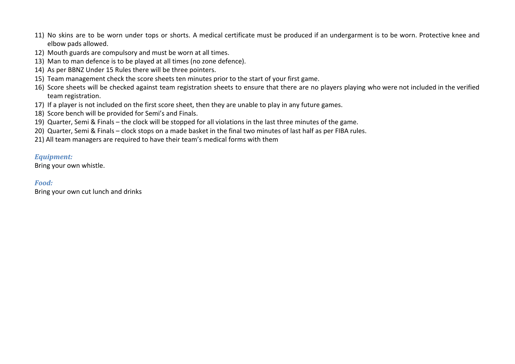- 11) No skins are to be worn under tops or shorts. A medical certificate must be produced if an undergarment is to be worn. Protective knee and elbow pads allowed.
- 12) Mouth guards are compulsory and must be worn at all times.
- 13) Man to man defence is to be played at all times (no zone defence).
- 14) As per BBNZ Under 15 Rules there will be three pointers.
- 15) Team management check the score sheets ten minutes prior to the start of your first game.
- 16) Score sheets will be checked against team registration sheets to ensure that there are no players playing who were not included in the verified team registration.
- 17) If a player is not included on the first score sheet, then they are unable to play in any future games.
- 18) Score bench will be provided for Semi's and Finals.
- 19) Quarter, Semi & Finals the clock will be stopped for all violations in the last three minutes of the game.
- 20) Quarter, Semi & Finals clock stops on a made basket in the final two minutes of last half as per FIBA rules.
- 21) All team managers are required to have their team's medical forms with them

### *Equipment:*

Bring your own whistle.

### *Food:*

Bring your own cut lunch and drinks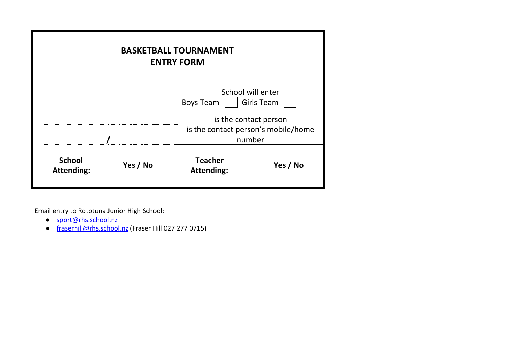|                                    |          | <b>BASKETBALL TOURNAMENT</b><br><b>ENTRY FORM</b> |                                     |
|------------------------------------|----------|---------------------------------------------------|-------------------------------------|
|                                    |          | School will enter<br><b>Boys Team</b>             | <b>Girls Team</b>                   |
|                                    |          | is the contact person<br>number                   | is the contact person's mobile/home |
| <b>School</b><br><b>Attending:</b> | Yes / No | <b>Teacher</b><br><b>Attending:</b>               | Yes / No                            |

Email entry to Rototuna Junior High School:

- [sport@rhs.school.nz](mailto:sport@rhs.school.nz)
- [fraserhill@rhs.school.nz](mailto:fraserhill@rhs.school.nz) (Fraser Hill 027 277 0715)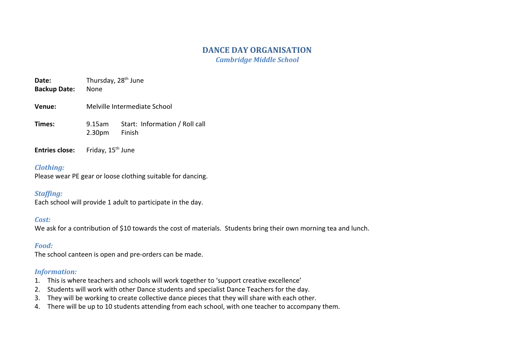# **DANCE DAY ORGANISATION**

*Cambridge Middle School*

**Date:** Thursday, 28<sup>th</sup> June

- **Backup Date:** None
- **Venue:** Melville Intermediate School
- **Times:** 9.15am Start: Information / Roll call 2.30pm Finish
- **Entries close:** Friday, 15<sup>th</sup> June

#### *Clothing:*

Please wear PE gear or loose clothing suitable for dancing.

### *Staffing:*

Each school will provide 1 adult to participate in the day.

### *Cost:*

We ask for a contribution of \$10 towards the cost of materials. Students bring their own morning tea and lunch.

#### *Food:*

The school canteen is open and pre-orders can be made.

#### *Information:*

- 1. This is where teachers and schools will work together to 'support creative excellence'
- 2. Students will work with other Dance students and specialist Dance Teachers for the day.
- 3. They will be working to create collective dance pieces that they will share with each other.
- 4. There will be up to 10 students attending from each school, with one teacher to accompany them.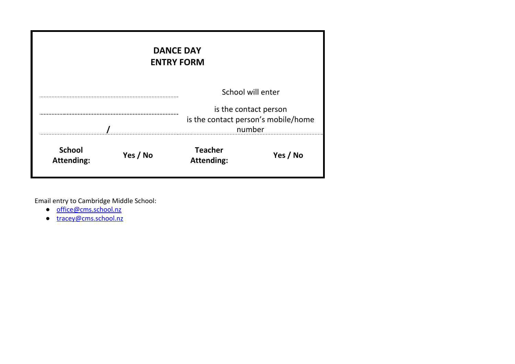|                                    |          | <b>DANCE DAY</b><br><b>ENTRY FORM</b>                                  |          |
|------------------------------------|----------|------------------------------------------------------------------------|----------|
|                                    |          | School will enter                                                      |          |
|                                    |          | is the contact person<br>is the contact person's mobile/home<br>number |          |
| <b>School</b><br><b>Attending:</b> | Yes / No | <b>Teacher</b><br><b>Attending:</b>                                    | Yes / No |

Email entry to Cambridge Middle School:

- [office@cms.school.nz](mailto:office@cms.school.nz)
- [tracey@cms.school.nz](mailto:tracey@cms.school.nz)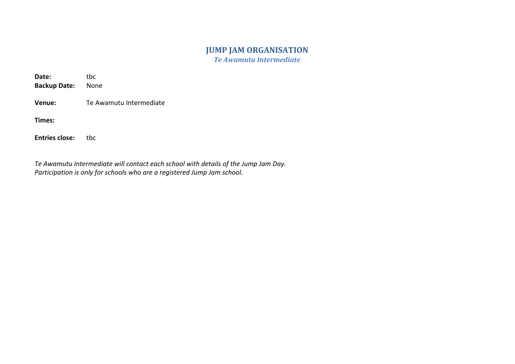# **JUMP JAM ORGANISATION**

*Te Awamutu Intermediate*

| Date:<br><b>Backup Date:</b> | tbc<br>None             |
|------------------------------|-------------------------|
| Venue:                       | Te Awamutu Intermediate |
| Times:                       |                         |
| <b>Entries close:</b>        | tbc                     |

*Te Awamutu Intermediate will contact each school with details of the Jump Jam Day. Participation is only for schools who are a registered Jump Jam school.*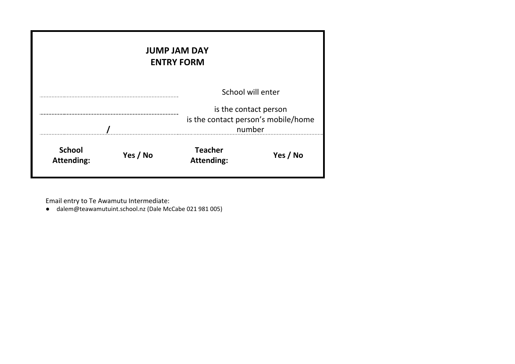|                                    |          | <b>JUMP JAM DAY</b><br><b>ENTRY FORM</b>      |                   |
|------------------------------------|----------|-----------------------------------------------|-------------------|
|                                    |          | is the contact person                         | School will enter |
|                                    |          | is the contact person's mobile/home<br>number |                   |
| <b>School</b><br><b>Attending:</b> | Yes / No | <b>Teacher</b><br><b>Attending:</b>           | Yes / No          |

Email entry to Te Awamutu Intermediate:

● [dalem@teawamutuint.school.nz](mailto:dalem@teawamutuint.school.nz) (Dale McCabe 021 981 005)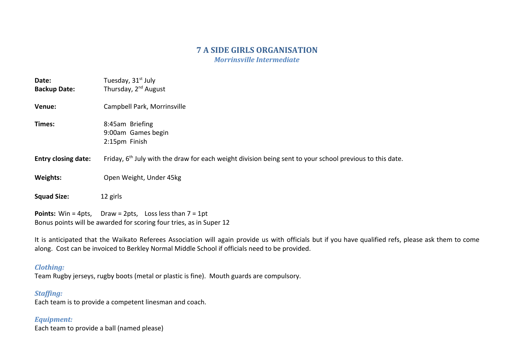# **7 A SIDE GIRLS ORGANISATION**

*Morrinsville Intermediate*

| Date:<br><b>Backup Date:</b> | Tuesday, 31 <sup>st</sup> July<br>Thursday, 2 <sup>nd</sup> August                                                                       |
|------------------------------|------------------------------------------------------------------------------------------------------------------------------------------|
| Venue:                       | Campbell Park, Morrinsville                                                                                                              |
| Times:                       | 8:45am Briefing<br>9:00am Games begin<br>2:15pm Finish                                                                                   |
| <b>Entry closing date:</b>   | Friday, $6th$ July with the draw for each weight division being sent to your school previous to this date.                               |
| <b>Weights:</b>              | Open Weight, Under 45kg                                                                                                                  |
| <b>Squad Size:</b>           | 12 girls                                                                                                                                 |
|                              | <b>Points:</b> Win = 4pts, Draw = 2pts, Loss less than $7 = 1$ pt<br>Bonus points will be awarded for scoring four tries, as in Super 12 |

It is anticipated that the Waikato Referees Association will again provide us with officials but if you have qualified refs, please ask them to come along. Cost can be invoiced to Berkley Normal Middle School if officials need to be provided.

#### *Clothing:*

Team Rugby jerseys, rugby boots (metal or plastic is fine). Mouth guards are compulsory.

### *Staffing:*

Each team is to provide a competent linesman and coach.

#### *Equipment:*

Each team to provide a ball (named please)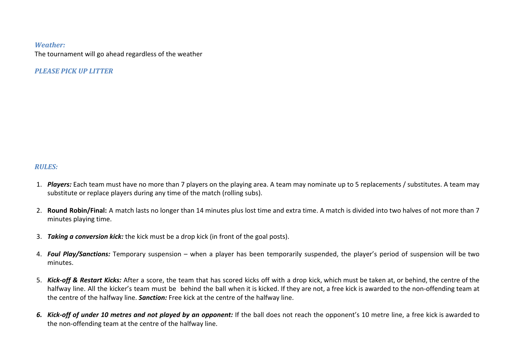#### *Weather:*

The tournament will go ahead regardless of the weather

*PLEASE PICK UP LITTER*

#### *RULES:*

- 1. *Players:* Each team must have no more than 7 players on the playing area. A team may nominate up to 5 replacements / substitutes. A team may substitute or replace players during any time of the match (rolling subs).
- 2. **Round Robin/Final:** A match lasts no longer than 14 minutes plus lost time and extra time. A match is divided into two halves of not more than 7 minutes playing time.
- 3. *Taking a conversion kick:* the kick must be a drop kick (in front of the goal posts).
- 4. *Foul Play/Sanctions:* Temporary suspension when a player has been temporarily suspended, the player's period of suspension will be two minutes.
- 5. *Kick-off & Restart Kicks:* After a score, the team that has scored kicks off with a drop kick, which must be taken at, or behind, the centre of the halfway line. All the kicker's team must be behind the ball when it is kicked. If they are not, a free kick is awarded to the non-offending team at the centre of the halfway line. *Sanction:* Free kick at the centre of the halfway line.
- 6. Kick-off of under 10 metres and not played by an opponent: If the ball does not reach the opponent's 10 metre line, a free kick is awarded to the non-offending team at the centre of the halfway line.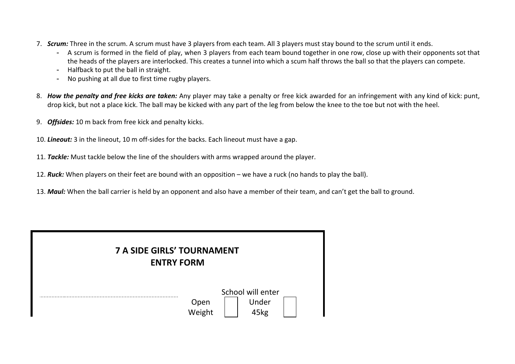- 7. *Scrum:* Three in the scrum. A scrum must have 3 players from each team. All 3 players must stay bound to the scrum until it ends.
	- A scrum is formed in the field of play, when 3 players from each team bound together in one row, close up with their opponents sot that the heads of the players are interlocked. This creates a tunnel into which a scum half throws the ball so that the players can compete.
	- Halfback to put the ball in straight.
	- No pushing at all due to first time rugby players.
- 8. *How the penalty and free kicks are taken:* Any player may take a penalty or free kick awarded for an infringement with any kind of kick: punt, drop kick, but not a place kick. The ball may be kicked with any part of the leg from below the knee to the toe but not with the heel.
- 9. *Offsides:* 10 m back from free kick and penalty kicks.
- 10. *Lineout:* 3 in the lineout, 10 m off-sides for the backs. Each lineout must have a gap.
- 11. *Tackle:* Must tackle below the line of the shoulders with arms wrapped around the player.
- 12. *Ruck:* When players on their feet are bound with an opposition we have a ruck (no hands to play the ball).
- 13. *Maul:* When the ball carrier is held by an opponent and also have a member of their team, and can't get the ball to ground.

| <b>7 A SIDE GIRLS' TOURNAMENT</b><br><b>ENTRY FORM</b> |                |                                    |  |
|--------------------------------------------------------|----------------|------------------------------------|--|
|                                                        | Open<br>Weight | School will enter<br>Under<br>45kg |  |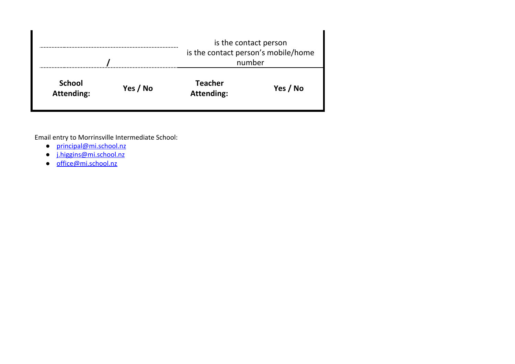|                                    |          |                                     | is the contact person<br>is the contact person's mobile/home<br>number |  |
|------------------------------------|----------|-------------------------------------|------------------------------------------------------------------------|--|
| <b>School</b><br><b>Attending:</b> | Yes / No | <b>Teacher</b><br><b>Attending:</b> | Yes / No                                                               |  |

Email entry to Morrinsville Intermediate School:

- [principal@mi.school.nz](mailto:principal@mi.school.nz)
- j.higgins@mi.school.nz
- [office@mi.school.nz](mailto:office@mi.school.nz)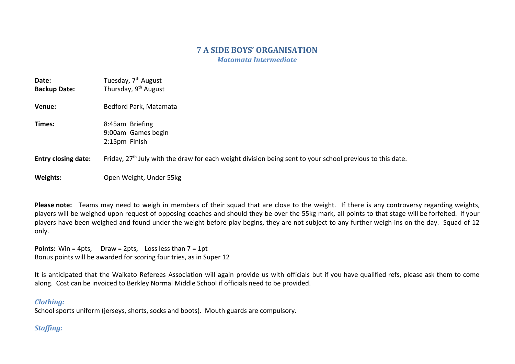# **7 A SIDE BOYS' ORGANISATION**

*Matamata Intermediate*

| Date:<br><b>Backup Date:</b> | Tuesday, 7 <sup>th</sup> August<br>Thursday, 9 <sup>th</sup> August                                         |
|------------------------------|-------------------------------------------------------------------------------------------------------------|
| Venue:                       | Bedford Park, Matamata                                                                                      |
| Times:                       | 8:45am Briefing<br>9:00am Games begin<br>2:15pm Finish                                                      |
| <b>Entry closing date:</b>   | Friday, $27th$ July with the draw for each weight division being sent to your school previous to this date. |
| Weights:                     | Open Weight, Under 55kg                                                                                     |

**Please note:** Teams may need to weigh in members of their squad that are close to the weight. If there is any controversy regarding weights, players will be weighed upon request of opposing coaches and should they be over the 55kg mark, all points to that stage will be forfeited. If your players have been weighed and found under the weight before play begins, they are not subject to any further weigh-ins on the day. Squad of 12 only.

**Points:** Win = 4pts, Draw = 2pts, Loss less than 7 = 1pt Bonus points will be awarded for scoring four tries, as in Super 12

It is anticipated that the Waikato Referees Association will again provide us with officials but if you have qualified refs, please ask them to come along. Cost can be invoiced to Berkley Normal Middle School if officials need to be provided.

#### *Clothing:*

School sports uniform (jerseys, shorts, socks and boots). Mouth guards are compulsory.

# *Staffing:*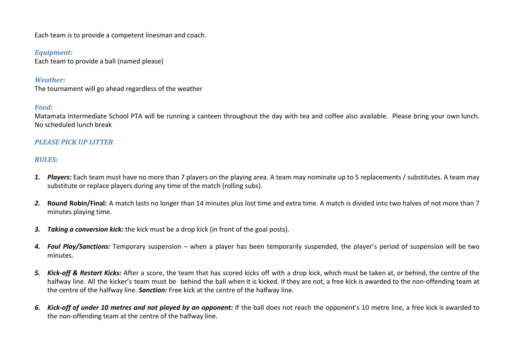Each team is to provide a competent linesman and coach.

#### *Equipment:*

Each team to provide a ball (named please)

#### *Weather:*

The tournament will go ahead regardless of the weather

#### *Food:*

Matamata Intermediate School PTA will be running a canteen throughout the day with tea and coffee also available. Please bring your own lunch. No scheduled lunch break

## *PLEASE PICK UP LITTER*

## *RULES:*

- *1. Players:* Each team must have no more than 7 players on the playing area. A team may nominate up to 5 replacements / substitutes. A team may substitute or replace players during any time of the match (rolling subs).
- *2.* **Round Robin/Final:** A match lasts no longer than 14 minutes plus lost time and extra time. A match is divided into two halves of not more than 7 minutes playing time.
- *3. Taking a conversion kick:* the kick must be a drop kick (in front of the goal posts).
- *4. Foul Play/Sanctions:* Temporary suspension when a player has been temporarily suspended, the player's period of suspension will be two minutes.
- *5. Kick-off & Restart Kicks:* After a score, the team that has scored kicks off with a drop kick, which must be taken at, or behind, the centre of the halfway line. All the kicker's team must be behind the ball when it is kicked. If they are not, a free kick is awarded to the non-offending team at the centre of the halfway line. *Sanction:* Free kick at the centre of the halfway line.
- 6. Kick-off of under 10 metres and not played by an opponent: If the ball does not reach the opponent's 10 metre line, a free kick is awarded to the non-offending team at the centre of the halfway line.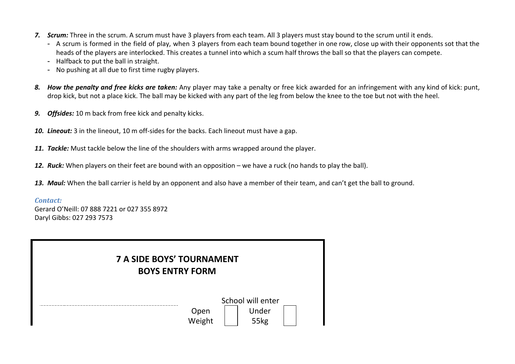- *7. Scrum:* Three in the scrum. A scrum must have 3 players from each team. All 3 players must stay bound to the scrum until it ends.
	- A scrum is formed in the field of play, when 3 players from each team bound together in one row, close up with their opponents sot that the heads of the players are interlocked. This creates a tunnel into which a scum half throws the ball so that the players can compete.
	- Halfback to put the ball in straight.
	- No pushing at all due to first time rugby players.
- *8. How the penalty and free kicks are taken:* Any player may take a penalty or free kick awarded for an infringement with any kind of kick: punt, drop kick, but not a place kick. The ball may be kicked with any part of the leg from below the knee to the toe but not with the heel.
- *9. Offsides:* 10 m back from free kick and penalty kicks.
- *10. Lineout:* 3 in the lineout, 10 m off-sides for the backs. Each lineout must have a gap.
- *11. Tackle:* Must tackle below the line of the shoulders with arms wrapped around the player.
- *12. Ruck:* When players on their feet are bound with an opposition we have a ruck (no hands to play the ball).
- *13. Maul:* When the ball carrier is held by an opponent and also have a member of their team, and can't get the ball to ground.

#### *Contact:*

Gerard O'Neill: 07 888 7221 or 027 355 8972 Daryl Gibbs: 027 293 7573

| <b>7 A SIDE BOYS' TOURNAMENT</b><br><b>BOYS ENTRY FORM</b> |                |                                    |  |
|------------------------------------------------------------|----------------|------------------------------------|--|
|                                                            | Open<br>Weight | School will enter<br>Under<br>55kg |  |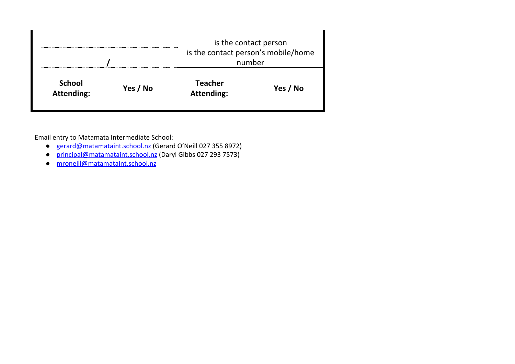|                                    |          |                                     | is the contact person<br>is the contact person's mobile/home<br>number |  |
|------------------------------------|----------|-------------------------------------|------------------------------------------------------------------------|--|
| <b>School</b><br><b>Attending:</b> | Yes / No | <b>Teacher</b><br><b>Attending:</b> | Yes / No                                                               |  |

Email entry to Matamata Intermediate School:

- [gerard@matamataint.school.nz](mailto:gerard@matamataint.school.nz) (Gerard O'Neill 027 355 8972)
- [principal@matamataint.school.nz](mailto:principal@matamataint.school.nz) (Daryl Gibbs 027 293 7573)
- [mroneill@matamataint.school.nz](mailto:mroneill@matamataint.school.nz)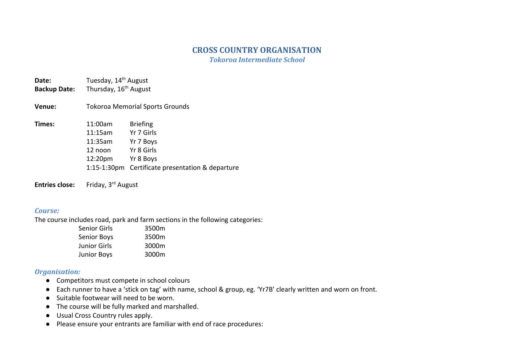# **CROSS COUNTRY ORGANISATION**

*Tokoroa Intermediate School*

**Date:** Tuesday, 14<sup>th</sup> August Backup Date: Thursday, 16<sup>th</sup> August

**Venue:** Tokoroa Memorial Sports Grounds

| Times: | 11:00am | <b>Briefing</b>                                  |
|--------|---------|--------------------------------------------------|
|        | 11:15am | Yr 7 Girls                                       |
|        | 11:35am | Yr 7 Boys                                        |
|        | 12 noon | Yr 8 Girls                                       |
|        | 12:20pm | Yr 8 Boys                                        |
|        |         | 1:15-1:30pm Certificate presentation & departure |

**Entries close:** Friday, 3<sup>rd</sup> August

#### *Course:*

The course includes road, park and farm sections in the following categories:

| 3500m |
|-------|
| 3500m |
| 3000m |
| 3000m |
|       |

#### *Organisation:*

- Competitors must compete in school colours
- Each runner to have a 'stick on tag' with name, school & group, eg. 'Yr7B' clearly written and worn on front.
- Suitable footwear will need to be worn.
- The course will be fully marked and marshalled.
- Usual Cross Country rules apply.
- Please ensure your entrants are familiar with end of race procedures: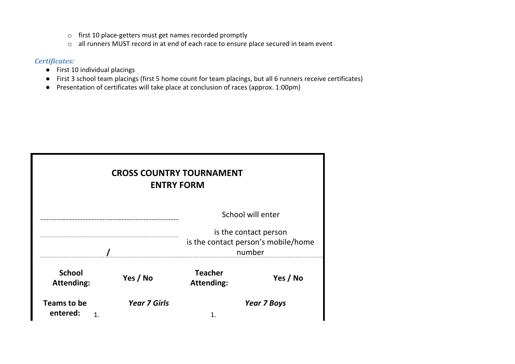- o first 10 place-getters must get names recorded promptly
- o all runners MUST record in at end of each race to ensure place secured in team event

### *Certificates:*

- First 10 individual placings
- First 3 school team placings (first 5 home count for team placings, but all 6 runners receive certificates)
- Presentation of certificates will take place at conclusion of races (approx. 1:00pm)

| <b>CROSS COUNTRY TOURNAMENT</b><br><b>ENTRY FORM</b>                   |                     |                                     |                    |
|------------------------------------------------------------------------|---------------------|-------------------------------------|--------------------|
|                                                                        |                     |                                     | School will enter  |
| is the contact person<br>is the contact person's mobile/home<br>number |                     |                                     |                    |
| <b>School</b><br><b>Attending:</b>                                     | Yes / No            | <b>Teacher</b><br><b>Attending:</b> | Yes / No           |
| Teams to be<br>entered:                                                | <b>Year 7 Girls</b> |                                     | <b>Year 7 Boys</b> |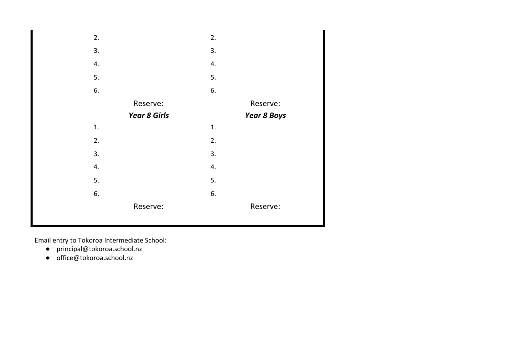

Email entry to Tokoroa Intermediate School:

- [principal@tokoroa.school.nz](mailto:klaurent@fairfieldintermediate.school.nz)
- office@tokoroa.school.nz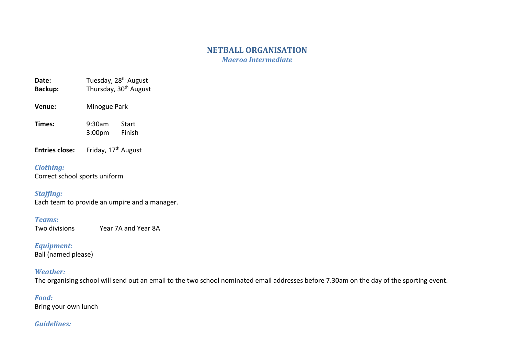# **NETBALL ORGANISATION**

*Maeroa Intermediate*

- **Date:** Tuesday, 28<sup>th</sup> August Backup: Thursday, 30<sup>th</sup> August
- **Venue:** Minogue Park
- **Times:** 9:30am Start 3:00pm Finish
- **Entries close:** Friday, 17<sup>th</sup> August

### *Clothing:*

Correct school sports uniform

# *Staffing:*

Each team to provide an umpire and a manager.

# *Teams:*

Two divisions Year 7A and Year 8A

### *Equipment:*

Ball (named please)

# *Weather:*

The organising school will send out an email to the two school nominated email addresses before 7.30am on the day of the sporting event.

# *Food:*

Bring your own lunch

## *Guidelines:*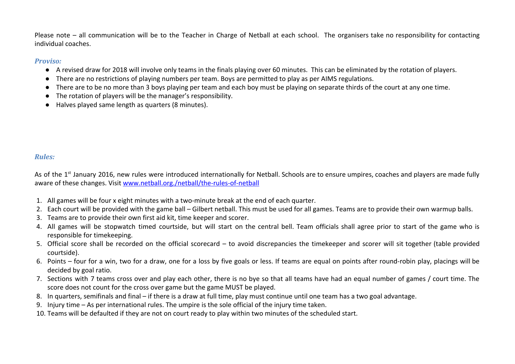Please note – all communication will be to the Teacher in Charge of Netball at each school. The organisers take no responsibility for contacting individual coaches.

#### *Proviso:*

- A revised draw for 2018 will involve only teams in the finals playing over 60 minutes. This can be eliminated by the rotation of players.
- There are no restrictions of playing numbers per team. Boys are permitted to play as per AIMS regulations.
- There are to be no more than 3 boys playing per team and each boy must be playing on separate thirds of the court at any one time.
- The rotation of players will be the manager's responsibility.
- Halves played same length as quarters (8 minutes).

# *Rules:*

As of the 1<sup>st</sup> January 2016, new rules were introduced internationally for Netball. Schools are to ensure umpires, coaches and players are made fully aware of these changes. Visit [www.netball.org./netball/the-rules-of-netball](http://www.netball.org./netball/the-rules-of-netball)

- 1. All games will be four x eight minutes with a two-minute break at the end of each quarter.
- 2. Each court will be provided with the game ball Gilbert netball. This must be used for all games. Teams are to provide their own warmup balls.
- 3. Teams are to provide their own first aid kit, time keeper and scorer.
- 4. All games will be stopwatch timed courtside, but will start on the central bell. Team officials shall agree prior to start of the game who is responsible for timekeeping.
- 5. Official score shall be recorded on the official scorecard to avoid discrepancies the timekeeper and scorer will sit together (table provided courtside).
- 6. Points four for a win, two for a draw, one for a loss by five goals or less. If teams are equal on points after round-robin play, placings will be decided by goal ratio.
- 7. Sections with 7 teams cross over and play each other, there is no bye so that all teams have had an equal number of games / court time. The score does not count for the cross over game but the game MUST be played.
- 8. In quarters, semifinals and final if there is a draw at full time, play must continue until one team has a two goal advantage.
- 9. Injury time As per international rules. The umpire is the sole official of the injury time taken.
- 10. Teams will be defaulted if they are not on court ready to play within two minutes of the scheduled start.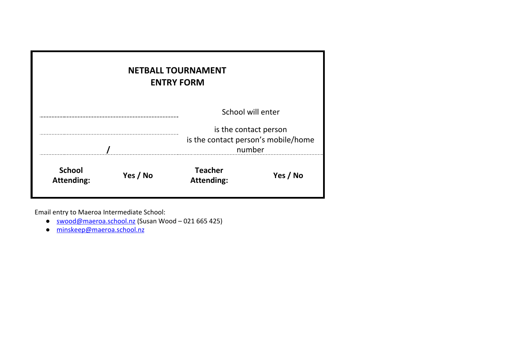| <b>NETBALL TOURNAMENT</b><br><b>ENTRY FORM</b> |          |                                                                        |          |  |
|------------------------------------------------|----------|------------------------------------------------------------------------|----------|--|
| School will enter                              |          |                                                                        |          |  |
|                                                |          | is the contact person<br>is the contact person's mobile/home<br>number |          |  |
| <b>School</b><br><b>Attending:</b>             | Yes / No | <b>Teacher</b><br><b>Attending:</b>                                    | Yes / No |  |

Email entry to Maeroa Intermediate School:

- [swood@maeroa.school.nz](mailto:swood@maeroa.school.nz) (Susan Wood 021 665 425)
- [minskeep@maeroa.school.nz](mailto:minskeep@maeroa.school.nz)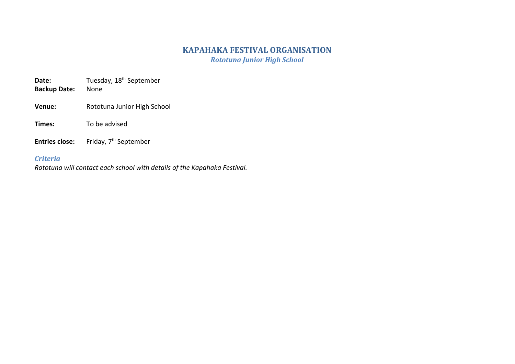# **KAPAHAKA FESTIVAL ORGANISATION**

*Rototuna Junior High School*

**Date:** Tuesday, 18<sup>th</sup> September

- **Backup Date:** None
- Venue: Rototuna Junior High School
- **Times:** To be advised
- **Entries close:** Friday, 7<sup>th</sup> September

# *Criteria*

*Rototuna will contact each school with details of the Kapahaka Festival.*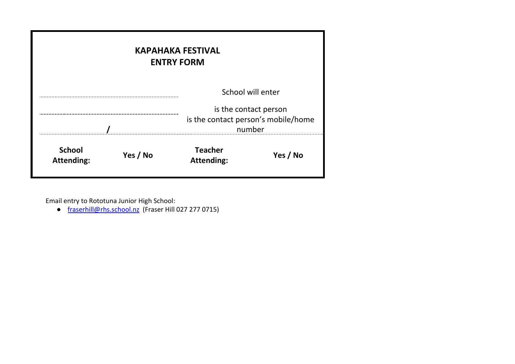| <b>KAPAHAKA FESTIVAL</b><br><b>ENTRY FORM</b>                          |          |                                     |                   |
|------------------------------------------------------------------------|----------|-------------------------------------|-------------------|
|                                                                        |          |                                     | School will enter |
| is the contact person<br>is the contact person's mobile/home<br>number |          |                                     |                   |
| <b>School</b><br><b>Attending:</b>                                     | Yes / No | <b>Teacher</b><br><b>Attending:</b> | Yes / No          |

Email entry to Rototuna Junior High School:

● [fraserhill@rhs.school.nz](mailto:fraserhill@rhs.school.nz) (Fraser Hill 027 277 0715)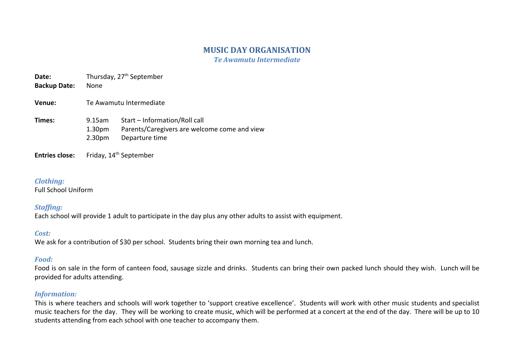# **MUSIC DAY ORGANISATION**

*Te Awamutu Intermediate*

**Date:** Thursday, 27<sup>th</sup> September

**Backup Date:** None

**Venue:** Te Awamutu Intermediate

**Times:** 9.15am Start – Information/Roll call 1.30pm Parents/Caregivers are welcome come and view 2.30pm Departure time

Entries close: Friday, 14<sup>th</sup> September

#### *Clothing:*

Full School Uniform

#### *Staffing:*

Each school will provide 1 adult to participate in the day plus any other adults to assist with equipment.

#### *Cost:*

We ask for a contribution of \$30 per school. Students bring their own morning tea and lunch.

#### *Food:*

Food is on sale in the form of canteen food, sausage sizzle and drinks. Students can bring their own packed lunch should they wish. Lunch will be provided for adults attending.

#### *Information:*

This is where teachers and schools will work together to 'support creative excellence'. Students will work with other music students and specialist music teachers for the day. They will be working to create music, which will be performed at a concert at the end of the day. There will be up to 10 students attending from each school with one teacher to accompany them.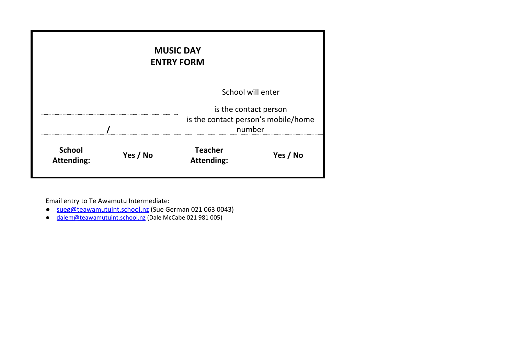| <b>MUSIC DAY</b><br><b>ENTRY FORM</b> |          |                                                                        |                   |  |  |
|---------------------------------------|----------|------------------------------------------------------------------------|-------------------|--|--|
|                                       |          |                                                                        | School will enter |  |  |
|                                       |          | is the contact person<br>is the contact person's mobile/home<br>number |                   |  |  |
| <b>School</b><br><b>Attending:</b>    | Yes / No | <b>Teacher</b><br><b>Attending:</b>                                    | Yes / No          |  |  |

Email entry to Te Awamutu Intermediate:

- [sueg@teawamutuint.school.nz](mailto:sueg@teawamutuint.school.nz) (Sue German 021 063 0043)
- o [dalem@teawamutuint.school.nz](mailto:dalem@teawamutuint.school.nz) (Dale McCabe 021 981 005)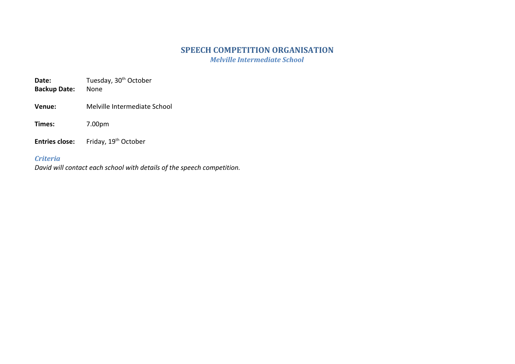# **SPEECH COMPETITION ORGANISATION**

*Melville Intermediate School*

Date: Tuesday, 30<sup>th</sup> October

- **Backup Date:** None
- **Venue:** Melville Intermediate School

**Times:** 7.00pm

**Entries close:** Friday, 19<sup>th</sup> October

## *Criteria*

*David will contact each school with details of the speech competition.*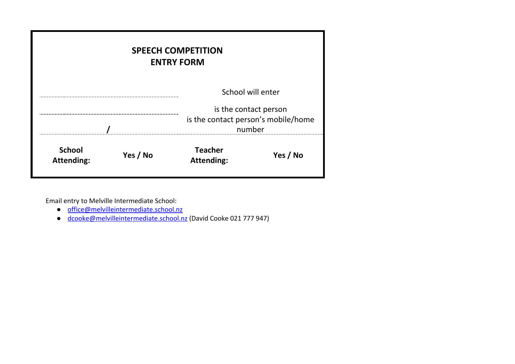| <b>SPEECH COMPETITION</b><br><b>ENTRY FORM</b> |  |                                                                        |          |  |  |
|------------------------------------------------|--|------------------------------------------------------------------------|----------|--|--|
|                                                |  | School will enter                                                      |          |  |  |
|                                                |  | is the contact person<br>is the contact person's mobile/home<br>number |          |  |  |
| <b>School</b><br>Yes / No<br><b>Attending:</b> |  | <b>Teacher</b><br><b>Attending:</b>                                    | Yes / No |  |  |

Email entry to Melville Intermediate School:

- [office@melvilleintermediate.school.nz](mailto:office@melvilleintermediate.school.nz)
- [dcooke@melvilleintermediate.school.nz](mailto:dcooke@melvilleintermediate.school.nz) (David Cooke 021 777 947)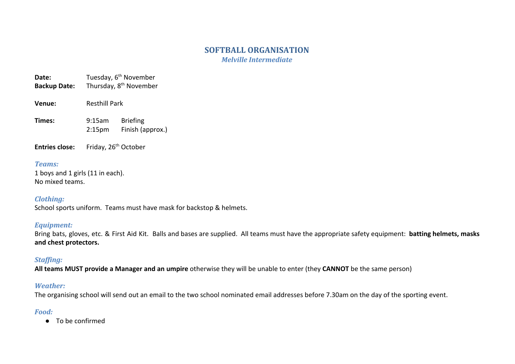# **SOFTBALL ORGANISATION**

*Melville Intermediate*

- **Date:** Tuesday, 6<sup>th</sup> November
- **Backup Date:** Thursday, 8<sup>th</sup> November
- **Venue:** Resthill Park
- **Times:** 9:15am Briefing 2:15pm Finish (approx.)
- **Entries close:** Friday, 26<sup>th</sup> October

#### *Teams:*

1 boys and 1 girls (11 in each). No mixed teams.

#### *Clothing:*

School sports uniform. Teams must have mask for backstop & helmets.

## *Equipment:*

Bring bats, gloves, etc. & First Aid Kit. Balls and bases are supplied. All teams must have the appropriate safety equipment: **batting helmets, masks and chest protectors.**

# *Staffing:*

**All teams MUST provide a Manager and an umpire** otherwise they will be unable to enter (they **CANNOT** be the same person)

## *Weather:*

The organising school will send out an email to the two school nominated email addresses before 7.30am on the day of the sporting event.

# *Food:*

● To be confirmed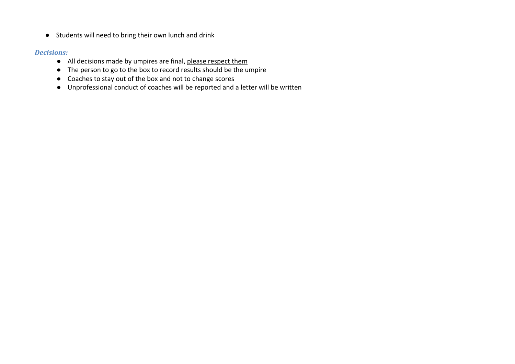● Students will need to bring their own lunch and drink

#### *Decisions:*

- All decisions made by umpires are final, please respect them
- The person to go to the box to record results should be the umpire
- Coaches to stay out of the box and not to change scores
- Unprofessional conduct of coaches will be reported and a letter will be written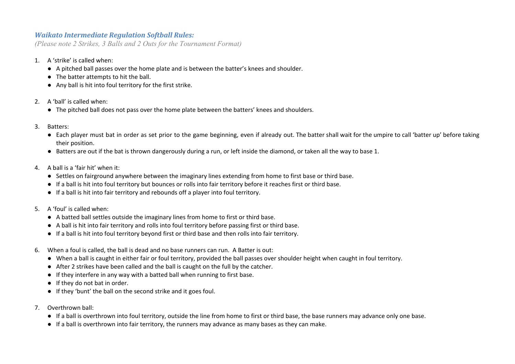### *Waikato Intermediate Regulation Softball Rules:*

*(Please note 2 Strikes, 3 Balls and 2 Outs for the Tournament Format)*

- 1. A 'strike' is called when:
	- A pitched ball passes over the home plate and is between the batter's knees and shoulder.
	- The batter attempts to hit the ball.
	- Any ball is hit into foul territory for the first strike.
- 2. A 'ball' is called when:
	- The pitched ball does not pass over the home plate between the batters' knees and shoulders.
- 3. Batters:
	- Each player must bat in order as set prior to the game beginning, even if already out. The batter shall wait for the umpire to call 'batter up' before taking their position.
	- Batters are out if the bat is thrown dangerously during a run, or left inside the diamond, or taken all the way to base 1.
- 4. A ball is a 'fair hit' when it:
	- Settles on fairground anywhere between the imaginary lines extending from home to first base or third base.
	- If a ball is hit into foul territory but bounces or rolls into fair territory before it reaches first or third base.
	- If a ball is hit into fair territory and rebounds off a player into foul territory.
- 5. A 'foul' is called when:
	- A batted ball settles outside the imaginary lines from home to first or third base.
	- A ball is hit into fair territory and rolls into foul territory before passing first or third base.
	- If a ball is hit into foul territory beyond first or third base and then rolls into fair territory.
- 6. When a foul is called, the ball is dead and no base runners can run. A Batter is out:
	- When a ball is caught in either fair or foul territory, provided the ball passes over shoulder height when caught in foul territory.
	- After 2 strikes have been called and the ball is caught on the full by the catcher.
	- If they interfere in any way with a batted ball when running to first base.
	- If they do not bat in order.
	- If they 'bunt' the ball on the second strike and it goes foul.
- 7. Overthrown ball:
	- If a ball is overthrown into foul territory, outside the line from home to first or third base, the base runners may advance only one base.
	- If a ball is overthrown into fair territory, the runners may advance as many bases as they can make.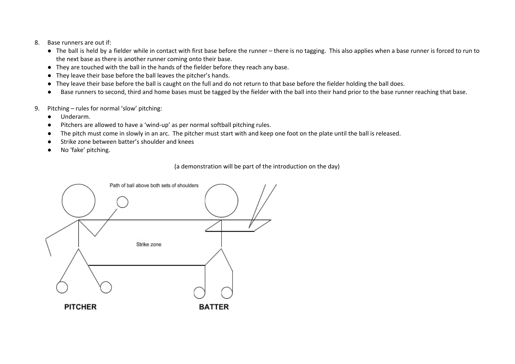- 8. Base runners are out if:
	- The ball is held by a fielder while in contact with first base before the runner there is no tagging. This also applies when a base runner is forced to run to the next base as there is another runner coming onto their base.
	- They are touched with the ball in the hands of the fielder before they reach any base.
	- They leave their base before the ball leaves the pitcher's hands.
	- They leave their base before the ball is caught on the full and do not return to that base before the fielder holding the ball does.
	- Base runners to second, third and home bases must be tagged by the fielder with the ball into their hand prior to the base runner reaching that base.
- 9. Pitching rules for normal 'slow' pitching:
	- Underarm.
	- Pitchers are allowed to have a 'wind-up' as per normal softball pitching rules.
	- The pitch must come in slowly in an arc. The pitcher must start with and keep one foot on the plate until the ball is released.
	- Strike zone between batter's shoulder and knees
	- No 'fake' pitching.

(a demonstration will be part of the introduction on the day)

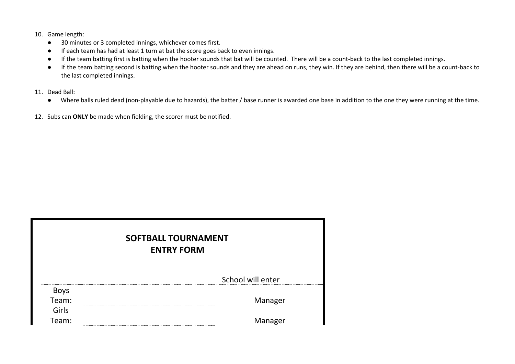- 10. Game length:
	- 30 minutes or 3 completed innings, whichever comes first.
	- If each team has had at least 1 turn at bat the score goes back to even innings.
	- If the team batting first is batting when the hooter sounds that bat will be counted. There will be a count-back to the last completed innings.
	- If the team batting second is batting when the hooter sounds and they are ahead on runs, they win. If they are behind, then there will be a count-back to the last completed innings.
- 11. Dead Ball:
	- Where balls ruled dead (non-playable due to hazards), the batter / base runner is awarded one base in addition to the one they were running at the time.
- 12. Subs can **ONLY** be made when fielding, the scorer must be notified.

| <b>SOFTBALL TOURNAMENT</b><br><b>ENTRY FORM</b> |  |                   |  |  |  |  |
|-------------------------------------------------|--|-------------------|--|--|--|--|
|                                                 |  | School will enter |  |  |  |  |
| Boys                                            |  |                   |  |  |  |  |
| Team:                                           |  | Manager           |  |  |  |  |
| Girls                                           |  |                   |  |  |  |  |
| Team:                                           |  | Manager           |  |  |  |  |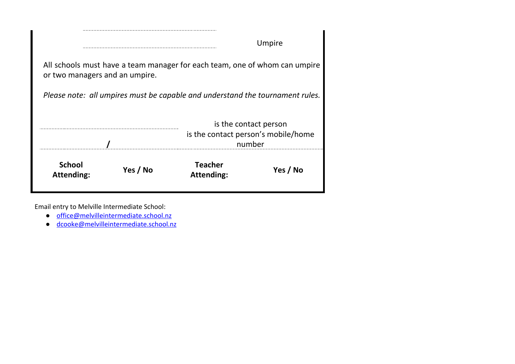|                                    |          |                                                                               | Umpire                                                                 |
|------------------------------------|----------|-------------------------------------------------------------------------------|------------------------------------------------------------------------|
| or two managers and an umpire.     |          | All schools must have a team manager for each team, one of whom can umpire    |                                                                        |
|                                    |          | Please note: all umpires must be capable and understand the tournament rules. |                                                                        |
|                                    |          |                                                                               | is the contact person<br>is the contact person's mobile/home<br>number |
| <b>School</b><br><b>Attending:</b> | Yes / No | <b>Teacher</b><br><b>Attending:</b>                                           | Yes / No                                                               |

Email entry to Melville Intermediate School:

- [office@melvilleintermediate.school.nz](mailto:office@melvilleintermediate.school.nz)
- [dcooke@melvilleintermediate.school.nz](mailto:dcooke@melvilleintermediate.school.nz)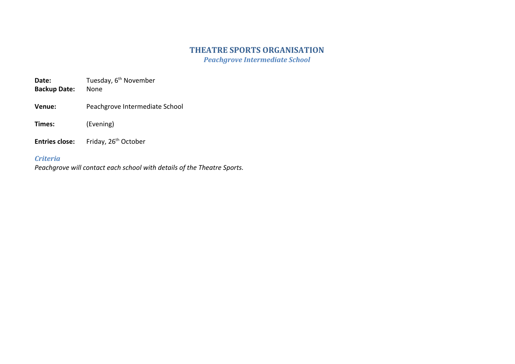# **THEATRE SPORTS ORGANISATION**

*Peachgrove Intermediate School*

**Date:** Tuesday, 6<sup>th</sup> November

**Backup Date:** None

**Venue:** Peachgrove Intermediate School

**Times:** (Evening)

**Entries close:** Friday, 26<sup>th</sup> October

## *Criteria*

*Peachgrove will contact each school with details of the Theatre Sports.*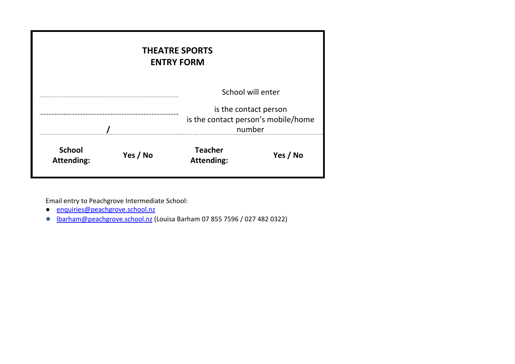| <b>THEATRE SPORTS</b><br><b>ENTRY FORM</b>     |  |                                               |          |  |  |  |
|------------------------------------------------|--|-----------------------------------------------|----------|--|--|--|
| School will enter<br>is the contact person     |  |                                               |          |  |  |  |
|                                                |  | is the contact person's mobile/home<br>number |          |  |  |  |
| <b>School</b><br>Yes / No<br><b>Attending:</b> |  | <b>Teacher</b><br><b>Attending:</b>           | Yes / No |  |  |  |

Email entry to Peachgrove Intermediate School:

- [enquiries@peachgrove.school.nz](mailto:enquiries@peachgrove.school.nz)
- **●** [lbarham@peachgrove.school.nz](mailto:lbarham@peachgrove.school.nz) (Louisa Barham 07 855 7596 / 027 482 0322)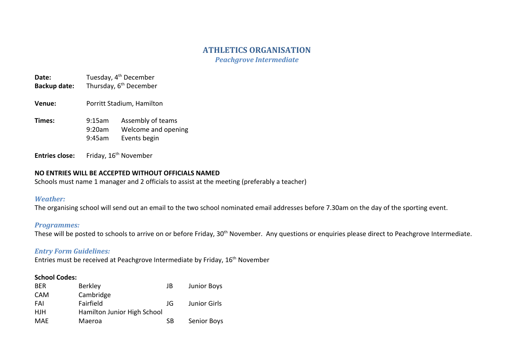# **ATHLETICS ORGANISATION**

*Peachgrove Intermediate*

# **Date:** Tuesday, 4<sup>th</sup> December

- Backup date: Thursday, 6<sup>th</sup> December
- **Venue:** Porritt Stadium, Hamilton
- **Times:** 9:15am Assembly of teams 9:20am Welcome and opening 9:45am Events begin

**Entries close:** Friday, 16<sup>th</sup> November

#### **NO ENTRIES WILL BE ACCEPTED WITHOUT OFFICIALS NAMED**

Schools must name 1 manager and 2 officials to assist at the meeting (preferably a teacher)

#### *Weather:*

The organising school will send out an email to the two school nominated email addresses before 7.30am on the day of the sporting event.

#### *Programmes:*

These will be posted to schools to arrive on or before Friday, 30<sup>th</sup> November. Any questions or enquiries please direct to Peachgrove Intermediate.

#### *Entry Form Guidelines:*

Entries must be received at Peachgrove Intermediate by Friday, 16<sup>th</sup> November

#### **School Codes:**

| <b>BFR</b> | <b>Berkley</b>              | JB | Junior Boys         |
|------------|-----------------------------|----|---------------------|
| <b>CAM</b> | Cambridge                   |    |                     |
| FAI        | Fairfield                   | JG | <b>Junior Girls</b> |
| HJH        | Hamilton Junior High School |    |                     |
| MAE        | Maeroa                      | SВ | Senior Boys         |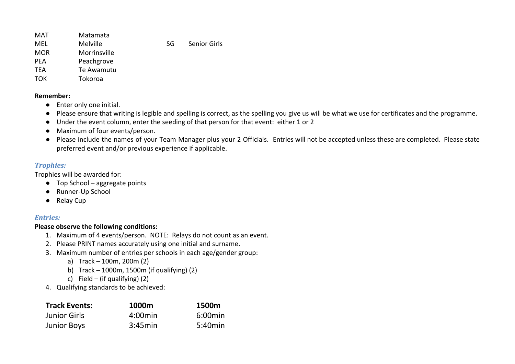| MAT        | Matamata        |     |                     |
|------------|-----------------|-----|---------------------|
| MEL        | <b>Melville</b> | SG. | <b>Senior Girls</b> |
| <b>MOR</b> | Morrinsville    |     |                     |
| <b>PFA</b> | Peachgrove      |     |                     |
| <b>TFA</b> | Te Awamutu      |     |                     |
| <b>TOK</b> | Tokoroa         |     |                     |
|            |                 |     |                     |

#### **Remember:**

- Enter only one initial.
- Please ensure that writing is legible and spelling is correct, as the spelling you give us will be what we use for certificates and the programme.
- Under the event column, enter the seeding of that person for that event: either 1 or 2
- Maximum of four events/person.
- Please include the names of your Team Manager plus your 2 Officials. Entries will not be accepted unless these are completed. Please state preferred event and/or previous experience if applicable.

# *Trophies:*

Trophies will be awarded for:

- Top School aggregate points
- Runner-Up School
- Relay Cup

# *Entries:*

# **Please observe the following conditions:**

- 1. Maximum of 4 events/person. NOTE: Relays do not count as an event.
- 2. Please PRINT names accurately using one initial and surname.
- 3. Maximum number of entries per schools in each age/gender group:
	- a) Track 100m, 200m (2)
	- b) Track 1000m, 1500m (if qualifying) (2)
	- c) Field (if qualifying)  $(2)$
- 4. Qualifying standards to be achieved:

| <b>Track Events:</b> | 1000m      | 1500m      |
|----------------------|------------|------------|
| <b>Junior Girls</b>  | $4:00$ min | $6:00$ min |
| <b>Junior Boys</b>   | 3:45min    | 5:40min    |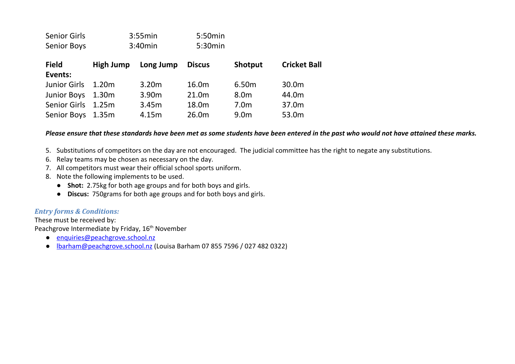| <b>Senior Girls</b><br><b>Senior Boys</b> |                  | 3:55min<br>3:40min | 5:50min<br>5:30min |                  |                     |
|-------------------------------------------|------------------|--------------------|--------------------|------------------|---------------------|
| <b>Field</b><br>Events:                   | <b>High Jump</b> | Long Jump          | <b>Discus</b>      | Shotput          | <b>Cricket Ball</b> |
| <b>Junior Girls</b>                       | 1.20m            | 3.20m              | 16.0m              | 6.50m            | 30.0m               |
| <b>Junior Boys</b>                        | 1.30m            | 3.90m              | 21.0 <sub>m</sub>  | 8.0 <sub>m</sub> | 44.0m               |
| <b>Senior Girls</b>                       | 1.25m            | 3.45m              | 18.0m              | 7.0 <sub>m</sub> | 37.0m               |
| Senior Boys                               | 1.35m            | 4.15m              | 26.0m              | 9.0 <sub>m</sub> | 53.0m               |

#### *Please ensure that these standards have been met as some students have been entered in the past who would not have attained these marks.*

- 5. Substitutions of competitors on the day are not encouraged. The judicial committee has the right to negate any substitutions.
- 6. Relay teams may be chosen as necessary on the day.
- 7. All competitors must wear their official school sports uniform.
- 8. Note the following implements to be used.
	- **Shot:** 2.75kg for both age groups and for both boys and girls.
	- **Discus:** 750grams for both age groups and for both boys and girls.

#### *Entry forms & Conditions:*

These must be received by: Peachgrove Intermediate by Friday, 16<sup>th</sup> November

- [enquiries@peachgrove.school.nz](mailto:enquiries@peachgrove.school.nz)
- [lbarham@peachgrove.school.nz](mailto:lbarham@peachgrove.school.nz) (Louisa Barham 07 855 7596 / 027 482 0322)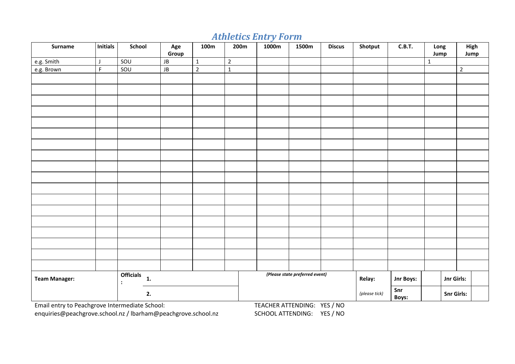# *Athletics Entry Form*

| <b>Surname</b>                                 | <b>Initials</b> | School                                                     | Age<br>Group     | 100m         | 200m           | 1000m                       | 1500m                          | <b>Discus</b> | Shotput             | C.B.T.    | Long<br>Jump      | High<br>Jump   |
|------------------------------------------------|-----------------|------------------------------------------------------------|------------------|--------------|----------------|-----------------------------|--------------------------------|---------------|---------------------|-----------|-------------------|----------------|
| e.g. Smith                                     | J               | SOU                                                        | ${\sf J}{\sf B}$ | $\mathbf{1}$ | $\overline{2}$ |                             |                                |               |                     |           | $\mathbf{1}$      |                |
| e.g. Brown                                     | F               | SOU                                                        | ${\sf J}{\sf B}$ | $\mathbf 2$  | $\mathbf{1}$   |                             |                                |               |                     |           |                   | $\overline{2}$ |
|                                                |                 |                                                            |                  |              |                |                             |                                |               |                     |           |                   |                |
|                                                |                 |                                                            |                  |              |                |                             |                                |               |                     |           |                   |                |
|                                                |                 |                                                            |                  |              |                |                             |                                |               |                     |           |                   |                |
|                                                |                 |                                                            |                  |              |                |                             |                                |               |                     |           |                   |                |
|                                                |                 |                                                            |                  |              |                |                             |                                |               |                     |           |                   |                |
|                                                |                 |                                                            |                  |              |                |                             |                                |               |                     |           |                   |                |
|                                                |                 |                                                            |                  |              |                |                             |                                |               |                     |           |                   |                |
|                                                |                 |                                                            |                  |              |                |                             |                                |               |                     |           |                   |                |
|                                                |                 |                                                            |                  |              |                |                             |                                |               |                     |           |                   |                |
|                                                |                 |                                                            |                  |              |                |                             |                                |               |                     |           |                   |                |
|                                                |                 |                                                            |                  |              |                |                             |                                |               |                     |           |                   |                |
|                                                |                 |                                                            |                  |              |                |                             |                                |               |                     |           |                   |                |
|                                                |                 |                                                            |                  |              |                |                             |                                |               |                     |           |                   |                |
|                                                |                 |                                                            |                  |              |                |                             |                                |               |                     |           |                   |                |
|                                                |                 |                                                            |                  |              |                |                             |                                |               |                     |           |                   |                |
|                                                |                 |                                                            |                  |              |                |                             |                                |               |                     |           |                   |                |
|                                                |                 |                                                            |                  |              |                |                             |                                |               |                     |           |                   |                |
|                                                |                 |                                                            |                  |              |                |                             |                                |               |                     |           |                   |                |
| <b>Team Manager:</b>                           |                 | <b>Officials</b><br>$\mathbf{1}$ .<br>$\ddot{\phantom{a}}$ |                  |              |                |                             | (Please state preferred event) |               | Relay:              | Jnr Boys: |                   | Jnr Girls:     |
| 2.                                             |                 |                                                            |                  |              |                |                             |                                | (please tick) | Snr<br><b>Boys:</b> |           | <b>Snr Girls:</b> |                |
| Email entry to Peachgrove Intermediate School: |                 |                                                            |                  |              |                | TEACHER ATTENDING: YES / NO |                                |               |                     |           |                   |                |

[enquiries@peachgrove.school.nz](mailto:enquiries@peachgrove.school.nz) / [lbarham@peachgrove.school.nz](mailto:lbarham@peachgrove.school.nz) SCHOOL ATTENDING: YES / NO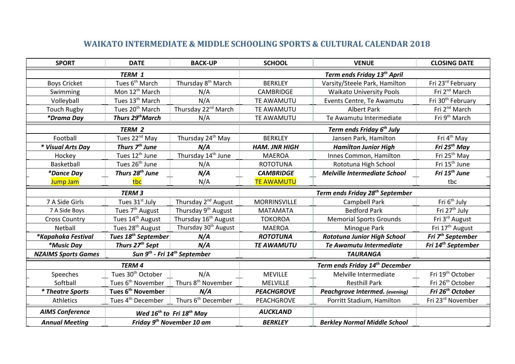# **WAIKATO INTERMEDIATE & MIDDLE SCHOOLING SPORTS & CULTURAL CALENDAR 2018**

| <b>SPORT</b>                                                   | <b>DATE</b>                     | <b>BACK-UP</b>                                       | <b>SCHOOL</b>                               | <b>VENUE</b>                               | <b>CLOSING DATE</b>            |  |
|----------------------------------------------------------------|---------------------------------|------------------------------------------------------|---------------------------------------------|--------------------------------------------|--------------------------------|--|
|                                                                | TERM 1                          |                                                      |                                             | Term ends Friday 13 <sup>th</sup> April    |                                |  |
| <b>Boys Cricket</b>                                            | Tues 6 <sup>th</sup> March      | Thursday 8 <sup>th</sup> March                       | <b>BERKLEY</b>                              | Varsity/Steele Park, Hamilton              | Fri 23rd February              |  |
| Swimming                                                       | Mon 12 <sup>th</sup> March      | N/A                                                  | <b>CAMBRIDGE</b>                            | <b>Waikato University Pools</b>            | Fri 2 <sup>nd</sup> March      |  |
| Volleyball                                                     | Tues 13 <sup>th</sup> March     | N/A                                                  | TE AWAMUTU                                  | Events Centre, Te Awamutu                  | Fri 30 <sup>th</sup> February  |  |
| <b>Touch Rugby</b>                                             | Tues 20 <sup>th</sup> March     | Thursday 22 <sup>nd</sup> March                      | TE AWAMUTU                                  | <b>Albert Park</b>                         | Fri 2 <sup>nd</sup> March      |  |
| *Drama Day                                                     | Thurs 29 <sup>th</sup> March    | N/A                                                  | TE AWAMUTU                                  | Te Awamutu Intermediate                    | Fri 9 <sup>th</sup> March      |  |
|                                                                | <b>TERM 2</b>                   |                                                      |                                             | Term ends Friday 6 <sup>th</sup> July      |                                |  |
| Football                                                       | Tues 22 <sup>nd</sup> May       | Thursday 24 <sup>th</sup> May                        | <b>BERKLEY</b>                              | Jansen Park, Hamilton                      | Fri 4 <sup>th</sup> May        |  |
| * Visual Arts Day                                              | Thurs 7 <sup>th</sup> June      | N/A                                                  | <b>HAM. JNR HIGH</b>                        | <b>Hamilton Junior High</b>                | Fri $25th$ May                 |  |
| Hockey                                                         | Tues 12 <sup>th</sup> June      | Thursday 14 <sup>th</sup> June                       | <b>MAEROA</b>                               | Innes Common, Hamilton                     | Fri 25 <sup>th</sup> May       |  |
| Basketball                                                     | Tues 26 <sup>th</sup> June      | N/A                                                  | <b>ROTOTUNA</b>                             | Rototuna High School                       | Fri 15 <sup>th</sup> June      |  |
| <i>*Dance Day</i>                                              | Thurs 28 <sup>th</sup> June     | N/A                                                  | <b>CAMBRIDGE</b>                            | <b>Melville Intermediate School</b>        | Fri 15 <sup>th</sup> June      |  |
| Jump Jam                                                       | tbc                             | N/A                                                  | <b>TE AWAMUTU</b>                           |                                            | tbc                            |  |
|                                                                | <b>TERM 3</b>                   |                                                      | Term ends Friday 28 <sup>th</sup> September |                                            |                                |  |
| 7 A Side Girls                                                 | Tues 31 <sup>st</sup> July      | Thursday 2 <sup>nd</sup> August                      | <b>MORRINSVILLE</b>                         | <b>Campbell Park</b>                       | Fri 6 <sup>th</sup> July       |  |
| 7 A Side Boys                                                  | Tues 7 <sup>th</sup> August     | Thursday 9 <sup>th</sup> August                      | <b>MATAMATA</b>                             | <b>Bedford Park</b>                        | Fri 27 <sup>th</sup> July      |  |
| <b>Cross Country</b>                                           | Tues 14 <sup>th</sup> August    | Thursday 16 <sup>th</sup> August                     | <b>TOKOROA</b>                              | <b>Memorial Sports Grounds</b>             | Fri 3rd August                 |  |
| Netball                                                        | Tues 28 <sup>th</sup> August    | Thursday 30 <sup>th</sup> August                     | <b>MAEROA</b>                               | Minogue Park                               | Fri 17 <sup>th</sup> August    |  |
| *Kapahaka Festival                                             | Tues 18 <sup>th</sup> September | N/A                                                  | <b>ROTOTUNA</b>                             | <b>Rototuna Junior High School</b>         | Fri 7 <sup>th</sup> September  |  |
| *Music Day                                                     | Thurs 27 <sup>th</sup> Sept     | N/A                                                  | <b>TE AWAMUTU</b>                           | Te Awamutu Intermediate                    | Fri 14 <sup>th</sup> September |  |
| <b>NZAIMS Sports Games</b>                                     |                                 | Sun 9 <sup>th</sup> - Fri 14 <sup>th</sup> September |                                             | <b>TAURANGA</b>                            |                                |  |
|                                                                | <b>TERM4</b>                    |                                                      |                                             | Term ends Friday 14 <sup>th</sup> December |                                |  |
| Speeches                                                       | Tues 30 <sup>th</sup> October   | N/A                                                  | <b>MEVILLE</b>                              | Melville Intermediate                      | Fri 19 <sup>th</sup> October   |  |
| Softball                                                       | Tues 6 <sup>th</sup> November   | Thurs 8 <sup>th</sup> November                       | <b>MELVILLE</b>                             | <b>Resthill Park</b>                       | Fri 26 <sup>th</sup> October   |  |
| <i><b>* Theatre Sports</b></i>                                 | Tues 6 <sup>th</sup> November   | N/A                                                  | <b>PEACHGROVE</b>                           | Peachgrove Intermed. (evening)             | Fri 26 <sup>th</sup> October   |  |
| Athletics                                                      | Tues 4 <sup>th</sup> December   | Thurs 6 <sup>th</sup> December                       | <b>PEACHGROVE</b>                           | Porritt Stadium, Hamilton                  | Fri 23rd November              |  |
| <b>AIMS Conference</b>                                         |                                 | Wed 16 <sup>th</sup> to Fri 18 <sup>th</sup> May     | <b>AUCKLAND</b>                             |                                            |                                |  |
| Friday 9 <sup>th</sup> November 10 am<br><b>Annual Meeting</b> |                                 |                                                      | <b>BERKLEY</b>                              | <b>Berkley Normal Middle School</b>        |                                |  |